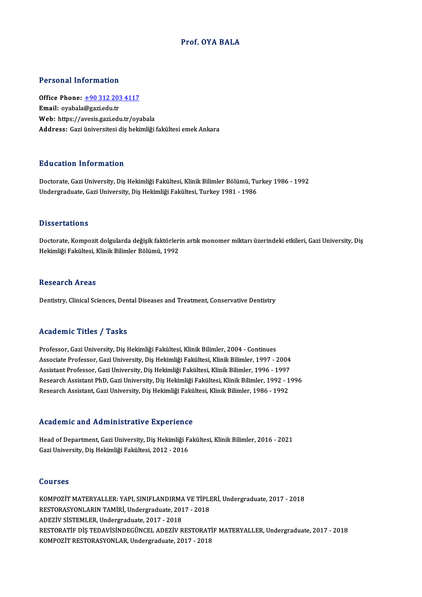### Prof. OYA BALA

### Personal Information

Personal Information<br>Office Phone: <u>+90 312 203 4117</u><br>Email: exabele@sazi.edu.tr 1 ST SUBSTRAT THEST MELLOT<br>Office Phone: <u>+90 312 203</u><br>Email: oyabala@gazi.edu.tr Email: oyabala@gazi.edu.tr<br>Web: https://a[vesis.gazi.edu.tr/oy](tel:+90 312 203 4117)abala Address: Gazi üniversitesi diş hekimliği fakültesi emek Ankara

### Education Information

**Education Information<br>Doctorate, Gazi University, Diş Hekimliği Fakültesi, Klinik Bilimler Bölümü, Turkey 1986 - 1992<br>Undergraduate Cari University, Diş Hekimliği Fakültesi, Turkey 1981, 1986** Lu u sutrom mirommutlori<br>Doctorate, Gazi University, Diş Hekimliği Fakültesi, Klinik Bilimler Bölümü, Tu<br>Undergraduate, Gazi University, Diş Hekimliği Fakültesi, Turkey 1981 - 1986 Undergraduate, Gazi University, Diş Hekimliği Fakültesi, Turkey 1981 - 1986<br>Dissertations

Doctorate, Kompozit dolgularda değişik faktörlerin artık monomer miktarı üzerindeki etkileri, Gazi University, Diş Hekimliği Fakültesi, Klinik Bilimler Bölümü, 1992

#### **Research Areas**

Dentistry, Clinical Sciences, Dental Diseases and Treatment, Conservative Dentistry

### Academic Titles / Tasks

Professor, Gazi University, Diş Hekimliği Fakültesi, Klinik Bilimler, 2004 - Continues -<br>Professor, Gazi University, Diş Hekimliği Fakültesi, Klinik Bilimler, 2004 - Continues<br>Associate Professor, Gazi University, Diş Hekimliği Fakültesi, Klinik Bilimler, 1997 - 2004<br>Assistant Brofessor, Gazi University, Diş Professor, Gazi University, Diş Hekimliği Fakültesi, Klinik Bilimler, 2004 - Continues<br>Associate Professor, Gazi University, Diş Hekimliği Fakültesi, Klinik Bilimler, 1997 - 2004<br>Assistant Professor, Gazi University, Diş H Associate Professor, Gazi University, Diş Hekimliği Fakültesi, Klinik Bilimler, 1997 - 2004<br>Assistant Professor, Gazi University, Diş Hekimliği Fakültesi, Klinik Bilimler, 1996 - 1997<br>Research Assistant PhD, Gazi Universit Assistant Professor, Gazi University, Diş Hekimliği Fakültesi, Klinik Bilimler, 1996 - 1997<br>Research Assistant PhD, Gazi University, Diş Hekimliği Fakültesi, Klinik Bilimler, 1992 - 1996<br>Research Assistant, Gazi University

### Academic and Administrative Experience

Academic and Administrative Experience<br>Head of Department, Gazi University, Diş Hekimliği Fakültesi, Klinik Bilimler, 2016 - 2021<br>Cazi University, Diş Hekimliği Fakültesi, 2012 - 2016 STORICHIVE RIM STAHIMISON ANTU EHIPOTION<br>Head of Department, Gazi University, Diş Hekimliği Fa<br>Gazi University, Diş Hekimliği Fakültesi, 2012 - 2016 Gazi University, Diş Hekimliği Fakültesi, 2012 - 2016<br>Courses

Courses<br>KOMPOZİT MATERYALLER: YAPI, SINIFLANDIRMA VE TİPLERİ, Undergraduate, 2017 - 2018<br>RESTORASYONI ARIN TAMİRİ, Undergraduate, 2017 - 2019 SOGITUCE<br>KOMPOZİT MATERYALLER: YAPI, SINIFLANDIRMA VE TİPLI<br>RESTORASYONLARIN TAMİRİ, Undergraduate, 2017 - 2018<br>ADEZİV SİSTEMI ER Undergraduate, 2017 - 2018 KOMPOZİT MATERYALLER: YAPI, SINIFLANDIRMA<br>RESTORASYONLARIN TAMİRİ, Undergraduate, 201<br>ADEZİV SİSTEMLER, Undergraduate, 2017 - 2018<br>RESTORATİE DİŞ TEDAVİSİNDECÜNCEL ADEZİV P RESTORASYONLARIN TAMİRİ, Undergraduate, 2017 - 2018<br>ADEZİV SİSTEMLER, Undergraduate, 2017 - 2018<br>RESTORATİF DİŞ TEDAVİSİNDEGÜNCEL ADEZİV RESTORATİF MATERYALLER, Undergraduate, 2017 - 2018<br>KOMPOZİT RESTORASYONI AR Undergrad ADEZİV SİSTEMLER, Undergraduate, 2017 - 2018<br>RESTORATİF DİŞ TEDAVİSİNDEGÜNCEL ADEZİV RESTORATİ!<br>KOMPOZİT RESTORASYONLAR, Undergraduate, 2017 - 2018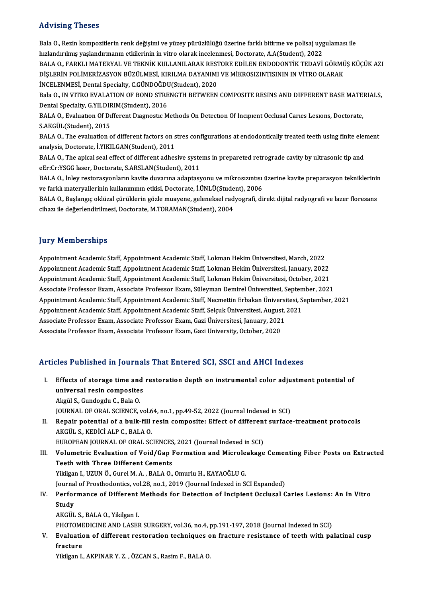### Advising Theses

Advising Theses<br>Bala O., Rezin kompozitlerin renk değişimi ve yüzey pürüzlülüğü üzerine farklı bitirme ve polisaj uygulaması ile<br>hızlandırılmış vesləndumasın atkilerinin in vitre olarak inselemesi. Desterata AA(Student), 2 hızla vishi ya hizlandırılmış ve yüzey pürüzlülüğü üzerine farklı bitirme ve polisaj uyg<br>hızlandırılmış yaşlandırmanın etkilerinin in vitro olarak incelenmesi, Doctorate, A.A(Student), 2022<br>BALA O. FARKLI MATERYAL VE TEKNİ Bala O., Rezin kompozitlerin renk değişimi ve yüzey pürüzlülüğü üzerine farklı bitirme ve polisaj uygulaması ile<br>hızlandırılmış yaşlandırmanın etkilerinin in vitro olarak incelenmesi, Doctorate, A.A(Student), 2022<br>BALA O., hızlandırılmış yaşlandırmanın etkilerinin in vitro olarak incelenmesi, Doctorate, A.A(Student), 2022<br>BALA O., FARKLI MATERYAL VE TEKNİK KULLANILARAK RESTORE EDİLEN ENDODONTİK TEDAVİ GÖRMÜ<br>DİŞLERİN POLİMERİZASYON BÜZÜLMESİ, BALA O., FARKLI MATERYAL VE TEKNİK KULLANILARAK REST<br>DİŞLERİN POLİMERİZASYON BÜZÜLMESİ, KIRILMA DAYANIMI<br>İNCELENMESİ, Dental Specialty, C.GÜNDOĞDU(Student), 2020<br>Bala O. IN VITPO EVALATION OF POND STRENCTH RETWEEN DİŞLERİN POLİMERİZASYON BÜZÜLMESİ, KIRILMA DAYANIMI VE MİKROSIZINTISININ IN VİTRO OLARAK<br>İNCELENMESİ, Dental Specialty, C.GÜNDOĞDU(Student), 2020<br>Bala O., IN VITRO EVALATION OF BOND STRENGTH BETWEEN COMPOSITE RESINS AND DI INCELENMESI, Dental Specialty, C.GÜNDOĞDU(Student), 2020<br>Bala O., IN VITRO EVALATION OF BOND STRENGTH BETWEEN COMPOSITE RESINS AND DIFFERENT BASE MATEI<br>Dental Specialty, G.YILDIRIM(Student), 2016<br>BALA O., Evaluation Of Dif Bala O., IN VITRO EVALATION OF BOND STRENGTH BETWEEN COMPOSITE RESINS AND DIFFERENT BASE MATE.<br>Dental Specialty, G.YILDIRIM(Student), 2016<br>BALA O., Evaluation Of Different Diagnostic Methods On Detection Of Incipient Occlu

Dental Specialty, G.YILDIRIM(Student), 2016<br>BALA O., Evaluation Of Different Diagnostic M<br>S.AKGÜL(Student), 2015 BALA O., Evaluation Of Different Diagnostic Methods On Detection Of Incipient Occlusal Caries Lesions, Doctorate,<br>S.AKGÜL(Student), 2015<br>BALA O., The evaluation of different factors on stres configurations at endodonticall

S.AKGÜL(Student), 2015<br>BALA O., The evaluation of different factors on s<br>analysis, Doctorate, İ.YIKILGAN(Student), 2011<br>BALA O., The episel seel effect of different adhes BALA O., The evaluation of different factors on stres configurations at endodontically treated teeth using finite elem<br>analysis, Doctorate, İ.YIKILGAN(Student), 2011<br>BALA O., The apical seal effect of different adhesive sy

analysis, Doctorate, İ.YIKILGAN(Student), 2011<br>BALA O., The apical seal effect of different adhesive syste<br>eEr:Cr:YSGG laser, Doctorate, S.ARSLAN(Student), 2011<br>BALA O. İnlay restorasyonların kayite duyarına adantası BALA O., The apical seal effect of different adhesive systems in prepareted retrograde cavity by ultrasonic tip and<br>eEr:Cr:YSGG laser, Doctorate, S.ARSLAN(Student), 2011<br>BALA O., İnley restorasyonların kavite duvarına adap

eEr:Cr:YSGG laser, Doctorate, S.ARSLAN(Student), 2011<br>BALA O., İnley restorasyonların kavite duvarına adaptasyonu ve mikrosızıntısı<br>ve farklı materyallerinin kullanımının etkisi, Doctorate, İ.ÜNLÜ(Student), 2006<br>BALA O. Ba BALA O., İnley restorasyonların kavite duvarına adaptasyonu ve mikrosızıntısı üzerine kavite preparasyon tekniklerinin<br>ve farklı materyallerinin kullanımının etkisi, Doctorate, İ.ÜNLÜ(Student), 2006<br>BALA O., Başlangıç oklü

ve farklı materyallerinin kullanımının etkisi, Doctorate, İ.ÜNLÜ(Student), 2006<br>BALA O., Başlangıç oklüzal çürüklerin gözle muayene, geleneksel radyografi, direkt dijital radyografi ve lazer floresans<br>cihazı ile değerlendi

### **Jury Memberships**

Appointment Academic Staff, Appointment Academic Staff, Lokman Hekim Üniversitesi, March, 2022 Appointment Academic Staff, Appointment Academic Staff, Lokman Hekim Üniversitesi, March, 2022<br>Appointment Academic Staff, Appointment Academic Staff, Lokman Hekim Üniversitesi, January, 2022<br>Appointment Academic Staff, Ap Appointment Academic Staff, Appointment Academic Staff, Lokman Hekim Üniversitesi, March, 2022<br>Appointment Academic Staff, Appointment Academic Staff, Lokman Hekim Üniversitesi, January, 2022<br>Appointment Academic Staff, Ap Appointment Academic Staff, Appointment Academic Staff, Lokman Hekim Üniversitesi, January, 2022<br>Appointment Academic Staff, Appointment Academic Staff, Lokman Hekim Üniversitesi, October, 2021<br>Associate Professor Exam, As Appointment Academic Staff, Appointment Academic Staff, Lokman Hekim Üniversitesi, October, 2021<br>Associate Professor Exam, Associate Professor Exam, Süleyman Demirel Üniversitesi, September, 2021<br>Appointment Academic Staff Associate Professor Exam, Associate Professor Exam, Süleyman Demirel Üniversitesi, Septen<br>Appointment Academic Staff, Appointment Academic Staff, Necmettin Erbakan Üniversitesi, S<br>Appointment Academic Staff, Appointment Ac Appointment Academic Staff, Appointment Academic Staff, Necmettin Erbakan Üniversi<br>Appointment Academic Staff, Appointment Academic Staff, Selçuk Üniversitesi, August,<br>Associate Professor Exam, Associate Professor Exam, Ga Appointment Academic Staff, Appointment Academic Staff, Selçuk Üniversitesi, August<br>Associate Professor Exam, Associate Professor Exam, Gazi Üniversitesi, January, 2021<br>Associate Professor Exam, Associate Professor Exam, G

# Associate Professor Exam, Associate Professor Exam, Gazi University, October, 2020<br>Articles Published in Journals That Entered SCI, SSCI and AHCI Indexes

- rticles Published in Journals That Entered SCI, SSCI and AHCI Indexes<br>I. Effects of storage time and restoration depth on instrumental color adjustment potential of<br>universal resin composites Effects of storage time and<br>universal resin composites Effects of storage time and<br>universal resin composite:<br>Akgül S., Gundogdu C., Bala O.<br>JOUPNAL OF OPAL SCIENCE . universal resin composites<br>Akgül S., Gundogdu C., Bala O.<br>JOURNAL OF ORAL SCIENCE, vol.64, no.1, pp.49-52, 2022 (Journal Indexed in SCI)<br>Penair potential of a bull: fill resin composite: Effect of different surface Akgül S., Gundogdu C., Bala O.<br>JOURNAL OF ORAL SCIENCE, vol.64, no.1, pp.49-52, 2022 (Journal Indexed in SCI)<br>II. Repair potential of a bulk-fill resin composite: Effect of different surface-treatment protocols<br>AKGÜL S., K
- JOURNAL OF ORAL SCIENCE, vol.6<br>Repair potential of a bulk-fill<br>AKGÜL S., KEDİCİ ALP C., BALA O.<br>FUROPEAN JOUPNAL OF ORAL SC AKGÜL S., KEDİCİ ALP C., BALA O.<br>EUROPEAN JOURNAL OF ORAL SCIENCES, 2021 (Journal Indexed in SCI)<br>III. Volumetric Evaluation of Void/Gap Formation and Microleakage Cementing Fiber Posts on Extracted<br>Teath with Three Di

EUROPEAN JOURNAL OF ORAL SCIENCES, 2021 (Journal Indexed in SCI)

EUROPEAN JOURNAL OF ORAL SCIENCES<br>Volumetric Evaluation of Void/Gap I<br>Teeth with Three Different Cements<br>Vitilson L UZUNÖ Gural M A - BALA O Volumetric Evaluation of Void/Gap Formation and Microle<br>Teeth with Three Different Cements<br>Yikilgan I., UZUN Ö., Gurel M. A. , BALA O., Omurlu H., KAYAOĞLU G.<br>Journal of Presthedentiss, vel 39, ne 1, 2010 (Journal Indeved Teeth with Three Different Cements<br>Yikilgan I., UZUN Ö., Gurel M. A. , BALA O., Omurlu H., KAYAOĞLU G.<br>Journal of Prosthodontics, vol.28, no.1, 2019 (Journal Indexed in SCI Expanded)<br>Performange of Different Methods for De

Yikilgan I., UZUN Ö., Gurel M. A. , BALA O., Omurlu H., KAYAOĞLU G.<br>Journal of Prosthodontics, vol.28, no.1, 2019 (Journal Indexed in SCI Expanded)<br>IV. Performance of Different Methods for Detection of Incipient Occlusal C Journa<br><mark>Perfor</mark><br>Study<br>A*vcü*r Performance of Different<br>Study<br>AKGÜL S., BALA O., Yikilgan I.<br>PHOTOMEDICINE AND LASEI Study<br>AKGÜL S., BALA O., Yikilgan I.<br>PHOTOMEDICINE AND LASER SURGERY, vol.36, no.4, pp.191-197, 2018 (Journal Indexed in SCI)

AKGÜL S., BALA 0., Yikilgan I.<br>PHOTOMEDICINE AND LASER SURGERY, vol.36, no.4, pp.191-197, 2018 (Journal Indexed in SCI)<br>V. Evaluation of different restoration techniques on fracture resistance of teeth with palatinal c PHOTOME<br><mark>Evaluatio</mark><br>fracture<br><sup>Vikiloon I</sup> Evaluation of different restoration techniques o<br>fracture<br>Yikilgan I., AKPINAR Y. Z. , ÖZCAN S., Rasim F., BALA O.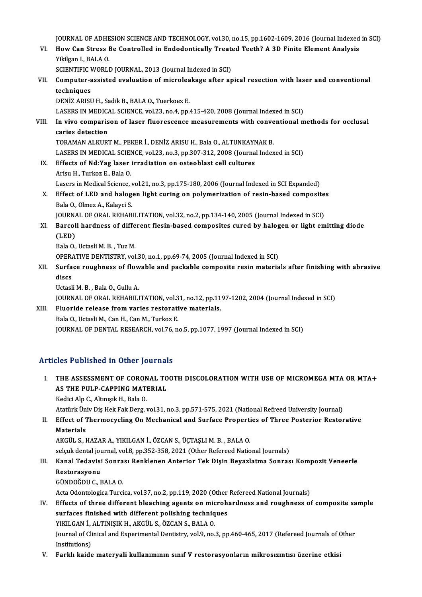JOURNAL OF ADHESION SCIENCE AND TECHNOLOGY, vol.30, no.15, pp.1602-1609, 2016 (Journal Indexed in SCI)<br>Hour Can Strees Be Controlled in Endedentiselly Treated Teeth? A 2D Finite Element Anglysis

JOURNAL OF ADHESION SCIENCE AND TECHNOLOGY, vol.30, no.15, pp.1602-1609, 2016 (Journal Indexed<br>VI. How Can Stress Be Controlled in Endodontically Treated Teeth? A 3D Finite Element Analysis<br>Vikilsen L BALA O **JOURNAL OF ADHE<br>How Can Stress I<br>Yikilgan I., BALA O.<br>SCIENTIELC WORLI** VI. How Can Stress Be Controlled in Endodontically Treated Teeth? A 3D Finite Element Analysis Yikilgan I., BALA 0.

SCIENTIFIC WORLD JOURNAL, 2013 (Journal Indexed in SCI)

VII. Computer-assisted evaluation of microleakage after apical resection with laser and conventional techniques techniques<br>DENİZ ARISU H., Sadik B., BALA O., Tuerkoez E.<br>LASERS IN MEDICAL SCIENCE, vol.23, no.4, pp.415-420, 2008 (Journal Indexed in SCI)<br>In vive comparison of laser flueressense measurements with conventional m

DENİZ ARISU H., Sadik B., BALA O., Tuerkoez E.

VIII. In vivo comparison of laser fluorescence measurements with conventional methods for occlusal caries detection LASERS IN MEDICA<br>In vivo comparis<br>caries detection<br>TORAMAN ALKUPS

TORAMAN ALKURTM., PEKER İ., DENİZ ARISU H., Bala O., ALTUNKAYNAK B. LASERS IN MEDICAL SCIENCE, vol.23, no.3, pp.307-312, 2008 (Journal Indexed in SCI)

- TORAMAN ALKURT M., PEKER İ., DENİZ ARISU H., Bala O., ALTUNKAYN<br>LASERS IN MEDICAL SCIENCE, vol.23, no.3, pp.307-312, 2008 (Journa<br>IX. Effects of Nd:Yag laser irradiation on osteoblast cell cultures LASERS IN MEDICAL SCIEN<br>Effects of Nd:Yag laser<br>Arisu H., Turkoz E., Bala O.<br>Lasers in Medical Science Effects of Nd:Yag laser irradiation on osteoblast cell cultures<br>Arisu H., Turkoz E., Bala O.<br>Lasers in Medical Science, vol.21, no.3, pp.175-180, 2006 (Journal Indexed in SCI Expanded)<br>Effect of LED and balagen light curin
- Arisu H., Turkoz E., Bala O.<br>Lasers in Medical Science, vol.21, no.3, pp.175-180, 2006 (Journal Indexed in SCI Expanded)<br>X. Effect of LED and halogen light curing on polymerization of resin-based composites<br>Pala O. Olmar A Lasers in Medical Science, v<br>Effect of LED and halog<br>Bala O., Olmez A., Kalayci S.<br>JOUPNAL OF OPAL BEHAP Effect of LED and halogen light curing on polymerization of resin-based composite<br>Bala 0., Olmez A., Kalayci S.<br>JOURNAL OF ORAL REHABILITATION, vol.32, no.2, pp.134-140, 2005 (Journal Indexed in SCI)<br>Parsell bardness of di

# Bala O., Olmez A., Kalayci S.<br>JOURNAL OF ORAL REHABILITATION, vol.32, no.2, pp.134-140, 2005 (Journal Indexed in SCI)<br>XI. Barcoll hardness of different flesin-based composites cured by halogen or light emitting diode<br>(J (JOURN)<br>Barcol<br>(LED)<br><sup>Polo O</sup> Barcoll hardness of diffe<br>(LED)<br>Bala O., Uctasli M. B. , Tuz M.<br>OPEP ATIVE DENTISTPY vol

(LED)<br>Bala O., Uctasli M. B. , Tuz M.<br>OPERATIVE DENTISTRY, vol.30, no.1, pp.69-74, 2005 (Journal Indexed in SCI)

# Bala O., Uctasli M. B. , Tuz M.<br>OPERATIVE DENTISTRY, vol.30, no.1, pp.69-74, 2005 (Journal Indexed in SCI)<br>XII. Surface roughness of flowable and packable composite resin materials after finishing with abrasive<br>discs OPERA<br>Surfa<br>discs<br>Heterl Surface roughness of flow<br>discs<br>Uctasli M. B. , Bala O., Gullu A.<br>JOUPNAL OF OPAL PEHAPILI discs<br>Uctasli M. B. , Bala O., Gullu A.<br>JOURNAL OF ORAL REHABILITATION, vol.31, no.12, pp.1197-1202, 2004 (Journal Indexed in SCI)<br>Flueride relesse from varies restarative materials

## Uctasli M. B., Bala O., Gullu A.<br>JOURNAL OF ORAL REHABILITATION, vol.31, no.12, pp.11<br>XIII. Fluoride release from varies restorative materials.<br>Bala O., Uctasli M., Can H., Can M., Turkoz E. **JOURNAL OF ORAL REHABILITATION, vol.3**<br>Fluoride release from varies restorati<br>Bala O., Uctasli M., Can H., Can M., Turkoz E.<br>JOURNAL OE DENTAL RESEARCH vol.76 n JOURNAL OF DENTAL RESEARCH, vol.76, no.5, pp.1077, 1997 (Journal Indexed in SCI)

### Articles Published in Other Journals

Turicles Published in Other Journals<br>I. THE ASSESSMENT OF CORONAL TOOTH DISCOLORATION WITH USE OF MICROMEGA MTA OR MTA+ THE ASSESSMENT OF CORONAL TO<br>AS THE PULP-CAPPING MATERIAL<br>Kedisi Alp C. Altmork H. Bala Q. AS THE PULP-CAPPING MATERIAL<br>Kedici Alp C., Altınışık H., Bala O. AS THE PULP-CAPPING MATERIAL<br>Kedici Alp C., Altınışık H., Bala O.<br>Atatürk Üniv Diş Hek Fak Derg, vol.31, no.3, pp.571-575, 2021 (National Refreed University Journal)<br>Effect of Thermosycling On Mechanical and Surface Proper

# II. Effect of Thermocycling On Mechanical and Surface Properties of Three Posterior Restorative<br>Materials Atatürk Ün<br><mark>Effect of</mark> 1<br>Materials<br>AKCÜL S. L Materials<br>AKGÜL S., HAZAR A., YIKILGAN İ., ÖZCAN S., ÜÇTAŞLI M. B. , BALA O.<br>selçuk dental journal, vol.8, pp.352-358, 2021 (Other Refereed National Journals)<br>Kanal Tedevisi Senrası Benklanen Anterier Tek Disin Bevezletme

AKGÜL S.,HAZARA.,YIKILGANİ.,ÖZCANS.,ÜÇTAŞLIM.B. ,BALAO.

# AKGÜL S., HAZAR A., YIKILGAN İ., ÖZCAN S., ÜÇTAŞLI M. B. , BALA O.<br>selçuk dental journal, vol.8, pp.352-358, 2021 (Other Refereed National Journals)<br>III. Kanal Tedavisi Sonrası Renklenen Anterior Tek Dişin Beyazlatma Sonra selçuk dental jo<mark>l</mark><br>Kanal Tedavisi<br>Restorasyonu<br>CÜNDOČDU C. E Kanal Tedavisi Sonra<br>Restorasyonu<br>GÜNDOĞDU C., BALA O.<br>Asta Odantalagisa Turgi Restorasyonu<br>GÜNDOĞDU C., BALA O.<br>Acta Odontologica Turcica, vol.37, no.2, pp.119, 2020 (Other Refereed National Journals)<br>Effects of three different bleeching agents on misrobardness and roughness of

## GÜNDOĞDU C., BALA O.<br>Acta Odontologica Turcica, vol.37, no.2, pp.119, 2020 (Other Refereed National Journals)<br>IV. Effects of three different bleaching agents on microhardness and roughness of composite sample<br>surfaces fini Acta Odontologica Turcica, vol.37, no.2, pp.119, 2020 (Other<br>Effects of three different bleaching agents on microh<br>surfaces finished with different polishing techniques<br>VIVU CAN LAUTINUSIV HANGÜLS ÖZGAN S. PALA O Effects of three different bleaching agents on mic<br>surfaces finished with different polishing techniq<br>YIKILGAN İ., ALTINIŞIK H., AKGÜL S., ÖZCAN S., BALA O.<br>Journal of Clinical and Eunerimental Dentistry, vol.9, no. Journal of Clinical and Experimental Dentistry, vol.9, no.3, pp.460-465, 2017 (Refereed Journals of Other Institutions) YIKILGAN İ.,<br>Journal of Cli<br>Institutions)<br>Farklı kaide

V. Farklı kaide materyali kullanımının sınıf V restorasyonların mikrosızıntısı üzerine etkisi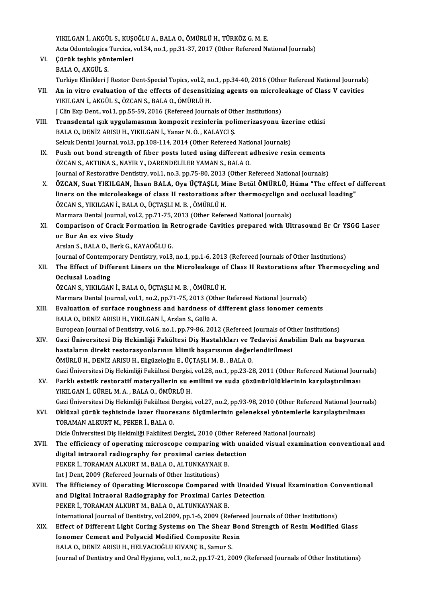YIKILGANİ.,AKGÜL S.,KUŞOĞLUA.,BALAO.,ÖMÜRLÜH.,TÜRKÖZG.M.E. YIKILGAN İ., AKGÜL S., KUŞOĞLU A., BALA O., ÖMÜRLÜ H., TÜRKÖZ G. M. E.<br>Acta Odontologica Turcica, vol.34, no.1, pp.31-37, 2017 (Other Refereed National Journals)<br>Sünük teebie vöntemleri YIKILGAN İ., AKGÜL S., KUŞO<br>Acta Odontologica Turcica, v<br>VI. Gürük teşhis yöntemleri<br>P<sup>ALA</sup> O. AKGÜL S Acta Odontologica<br>**Çürük teşhis yön**<br>BALA O., AKGÜL S.<br>Turkiye Klipikleri I Çürük teşhis yöntemleri<br>BALA 0., AKGÜL S.<br>Turkiye Klinikleri J Restor Dent-Special Topics, vol.2, no.1, pp.34-40, 2016 (Other Refereed National Journals)<br>An in vitre evaluation of the effects of desensitiving agents on mis BALA 0., AKGÜL S.<br>Turkiye Klinikleri J Restor Dent-Special Topics, vol.2, no.1, pp.34-40, 2016 (Other Refereed National Journals<br>VII. An in vitro evaluation of the effects of desensitizing agents on microleakage of Class V Turkiye Klinikleri J Restor Dent-Special Topics, vol.2, no<br>An in vitro evaluation of the effects of desensiti<br>YIKILGAN İ., AKGÜL S., ÖZCAN S., BALA O., ÖMÜRLÜ H.<br>LClin Evn Dent, vol.1, nn 55, 59, 2016 (Befereed Jeurn An in vitro evaluation of the effects of desensitizing agents on microle<br>YIKILGAN İ., AKGÜL S., ÖZCAN S., BALA O., ÖMÜRLÜ H.<br>J Clin Exp Dent., vol.1, pp.55-59, 2016 (Refereed Journals of Other Institutions)<br>Transdontal isi YIKILGAN İ., AKGÜL S., ÖZCAN S., BALA O., ÖMÜRLÜ H.<br>J Clin Exp Dent., vol.1, pp.55-59, 2016 (Refereed Journals of Other Institutions)<br>VIII. Transdental ışık uygulamasının kompozit rezinlerin polimerizasyonu üzerine etk J Clin Exp Dent., vol.1, pp.55-59, 2016 (Refereed Journals of Other Institutions)<br>Transdental ışık uygulamasının kompozit rezinlerin polimerizasyonu<br>BALA O., DENİZ ARISU H., YIKILGAN İ., Yanar N. Ö. , KALAYCI Ş. Transdental ışık uygulamasının kompozit rezinlerin polimerizasyonu üze<br>BALA O., DENİZ ARISU H., YIKILGAN İ., Yanar N. Ö. , KALAYCI Ş.<br>Selcuk Dental Journal, vol.3, pp.108-114, 2014 (Other Refereed National Journals)<br>Push o IX. Push out bond strength of fiber posts luted using different adhesive resin cements ÖZCAN S., AKTUNA S., NAYIR Y., DARENDELILER YAMAN S., BALA O. Selcuk Dental Journal, vol.3, pp.108-114, 2014 (Other Refereed National Journals) Journal of Restorative Dentistry, vol.1, no.3, pp.75-80, 2013 (Other Refereed National Journals) ÖZCAN S., AKTUNA S., NAYIR Y., DARENDELİLER YAMAN S., BALA O.<br>Journal of Restorative Dentistry, vol.1, no.3, pp.75-80, 2013 (Other Refereed National Journals)<br>X. ÖZCAN, Suat YIKILGAN, İhsan BALA, Oya ÜÇTAŞLI, Mine Betü Journal of Restorative Dentistry, vol.1, no.3, pp.75-80, 2013 (Other Refereed National Journals)<br>ÖZCAN, Suat YIKILGAN, İhsan BALA, Oya ÜÇTAŞLI, Mine Betül ÖMÜRLÜ, Hüma "The effect of<br>liners on the microleakege of class II ÖZCAN, Suat YIKILGAN, İhsan BALA, Oya ÜÇTAŞLI, M<br>liners on the microleakege of class II restorations af<br>ÖZCAN S., YIKILGAN İ., BALA O., ÜÇTAŞLI M. B. , ÖMÜRLÜ H.<br>Marmara Dantal Jaumal val 2. np.71.75.2012 (Othan Bafan liners on the microleakege of class II restorations after thermocyclign and occlusal loading"<br>ÖZCAN S., YIKILGAN İ., BALA O., ÜÇTAŞLI M. B. , ÖMÜRLÜ H.<br>Marmara Dental Journal, vol.2, pp.71-75, 2013 (Other Refereed National ÖZCAN S., YIKILGAN İ., BALA O., ÜÇTAŞLI M. B. , ÖMÜRLÜ H.<br>Marmara Dental Journal, vol.2, pp.71-75, 2013 (Other Refereed National Journals)<br>XI. Comparison of Crack Formation in Retrograde Cavities prepared with Ultrasound E Marmara Dental Journal, vo<br>Comparison of Crack For<br>or Bur An ex vivo Study<br>Arslan S. BALAO Berk C. L Comparison of Crack Formation in R<br>or Bur An ex vivo Study<br>Arslan S., BALA O., Berk G., KAYAOĞLU G.<br>Journal of Contemporary Dontistry, yol 3. or Bur An ex vivo Study<br>Arslan S., BALA O., Berk G., KAYAOĞLU G.<br>Journal of Contemporary Dentistry, vol.3, no.1, pp.1-6, 2013 (Refereed Journals of Other Institutions) Arslan S., BALA O., Berk G., KAYAOĞLU G.<br>Journal of Contemporary Dentistry, vol.3, no.1, pp.1-6, 2013 (Refereed Journals of Other Institutions)<br>XII. The Effect of Different Liners on the Microleakege of Class II Restor Journal of Contemp<br>The Effect of Diff<br>Occlusal Loading<br>ÖZCAN S, VIKU CAN Occlusal Loading<br>ÖZCAN S., YIKILGAN İ., BALA O., ÜÇTAŞLI M. B. , ÖMÜRLÜ H. Occlusal Loading<br>ÖZCAN S., YIKILGAN İ., BALA O., ÜÇTAŞLI M. B. , ÖMÜRLÜ H.<br>Marmara Dental Journal, vol.1, no.2, pp.71-75, 2013 (Other Refereed National Journals)<br>Evaluation of surfase reughness and bardness of different sl ÖZCAN S., YIKILGAN İ., BALA O., ÜÇTAŞLI M. B. , ÖMÜRLÜ H.<br>Marmara Dental Journal, vol.1, no.2, pp.71-75, 2013 (Other Refereed National Journals)<br>XIII. Braluation of surface roughness and hardness of different glass ionomer Marmara Dental Journal, vol.1, no.2, pp.71-75, 2013 (Oth<br>**Evaluation of surface roughness and hardness of**<br>BALA O., DENİZ ARISU H., YIKILGAN İ., Arslan S., Güllü A.<br>European Journal of Dentistry, vol.6, no.1, nn.79, 86, 20 Evaluation of surface roughness and hardness of different glass ionomer cements<br>BALA 0., DENİZ ARISU H., YIKILGAN İ., Arslan S., Güllü A.<br>European Journal of Dentistry, vol.6, no.1, pp.79-86, 2012 (Refereed Journals of Oth BALA O., DENİZ ARISU H., YIKILGAN İ., Arslan S., Güllü A.<br>European Journal of Dentistry, vol.6, no.1, pp.79-86, 2012 (Refereed Journals of Other Institutions)<br>XIV. Gazi Üniversitesi Diş Hekimliği Fakültesi Diş Hastalıkları European Journal of Dentistry, vol.6, no.1, pp.79-86, 2012 (Refereed Journals of Ot<br>Gazi Üniversitesi Diş Hekimliği Fakültesi Diş Hastalıkları ve Tedavisi Anal<br>hastaların direkt restorasyonlarının klimik başarısının değerl ÖMÜRLÜH.,DENİZARISUH.,EligüzeloğluE.,ÜÇTAŞLIM.B. ,BALAO. Gazi Üniversitesi Diş Hekimliği Fakültesi Dergisi, vol.28, no.1, pp.23-28, 2011 (Other Refereed National Journals) ÖMÜRLÜ H., DENİZ ARISU H., Eligüzeloğlu E., ÜÇTAŞLI M. B. , BALA O.<br>Gazi Üniversitesi Diş Hekimliği Fakültesi Dergisi, vol.28, no.1, pp.23-28, 2011 (Other Refereed National Jour<br>XV. Farklı estetik restoratif materyallerin Gazi Üniversitesi Diş Hekimliği Fakültesi Dergisi,<br>Farklı estetik restoratif materyallerin su e<br>YIKILGAN İ., GÜREL M. A. , BALA O., ÖMÜRLÜ H.<br>Cari Üniversitesi Diş Hekimliği Fakültesi Dergisi Farklı estetik restoratif materyallerin su emilimi ve suda çözünürlülüklerinin karşılaştırılması<br>YIKILGAN İ., GÜREL M. A. , BALA O., ÖMÜRLÜ H.<br>Gazi Üniversitesi Diş Hekimliği Fakültesi Dergisi, vol.27, no.2, pp.93-98, 2010 YIKILGAN İ., GÜREL M. A. , BALA O., ÖMÜRLÜ H.<br>Gazi Üniversitesi Diş Hekimliği Fakültesi Dergisi, vol.27, no.2, pp.93-98, 2010 (Other Refereed National Journ<br>XVI. Oklüzal çürük teşhisinde lazer fluoresans ölçümlerinin g Gazi Üniversitesi Diş Hekimliği Fakültesi Dergisi, vol.27, no.2, pp.93-98, 2010 (Other Refereed National Journals)<br>Oklüzal çürük teşhisinde lazer fluoresans ölçümlerinin geleneksel yöntemlerle karşılaştırılması<br>TORAMAN ALK Oklüzal çürük teşhisinde lazer fluoresans ölçümlerinin geleneksel yöntemlerle k:<br>TORAMAN ALKURT M., PEKER İ., BALA O.<br>Dicle Üniversitesi Diş Hekimliği Fakültesi Dergisi,, 2010 (Other Refereed National Journals)<br>The efficie XVII. The efficiency of operating microscope comparing with unaided visual examination conventional and Dicle Üniversitesi Diş Hekimliği Fakültesi Dergisi,, 2010 (Other Referrence The efficiency of operating microscope comparing with una<br>digital intraoral radiography for proximal caries detection<br>REVER İ. TORAMAN ALKURT M. R The efficiency of operating microscope comparing wit<br>digital intraoral radiography for proximal caries dete<br>PEKER İ., TORAMAN ALKURT M., BALA 0., ALTUNKAYNAK B.<br>Int I Dant 2009 (Befereed Jeurnals of Other Institutions) digital intraoral radiography for proximal caries d<br>PEKER İ., TORAMAN ALKURT M., BALA O., ALTUNKAYNAK<br>Int J Dent, 2009 (Refereed Journals of Other Institutions)<br>The Efficiency of Operating Microscope Compared PEKER İ., TORAMAN ALKURT M., BALA O., ALTUNKAYNAK B.<br>Int J Dent, 2009 (Refereed Journals of Other Institutions)<br>XVIII. The Efficiency of Operating Microscope Compared with Unaided Visual Examination Conventional<br>and Digita Int J Dent, 2009 (Refereed Journals of Other Institutions)<br>The Efficiency of Operating Microscope Compared with Unaided<br>and Digital Intraoral Radiography for Proximal Caries Detection<br>REKED I, TORAMAN ALKURT M, RALA O, ALT The Efficiency of Operating Microscope Compared wit<br>and Digital Intraoral Radiography for Proximal Caries<br>PEKER İ., TORAMAN ALKURT M., BALA 0., ALTUNKAYNAK B.<br>International Jaurnal of Dentistry, vol 2009 nn 1,6, 2009 (Be and Digital Intraoral Radiography for Proximal Caries Detection<br>PEKER İ., TORAMAN ALKURT M., BALA O., ALTUNKAYNAK B.<br>International Journal of Dentistry, vol.2009, pp.1-6, 2009 (Refereed Journals of Other Institutions) PEKER İ., TORAMAN ALKURT M., BALA O., ALTUNKAYNAK B.<br>International Journal of Dentistry, vol.2009, pp.1-6, 2009 (Refereed Journals of Other Institutions)<br>XIX. Effect of Different Light Curing Systems on The Shear Bond Stre International Journal of Dentistry, vol.2009, pp.1-6, 2009 (Refere<br>Effect of Different Light Curing Systems on The Shear Bo:<br>Jonomer Cement and Polyacid Modified Composite Resin<br>RALA O. DENIZ ARISU H. HELVACIOČLI KIVANC B. Effect of Different Light Curing Systems on The Shear<br>Ionomer Cement and Polyacid Modified Composite Res<br>BALA 0., DENİZ ARISU H., HELVACIOĞLU KIVANÇ B., Samur S.<br>Journal of Dontistry and Oral Hygiano, vol.1, no.2, np.17,21 Ionomer Cement and Polyacid Modified Composite Resin<br>BALA O., DENİZ ARISU H., HELVACIOĞLU KIVANÇ B., Samur S.<br>Journal of Dentistry and Oral Hygiene, vol.1, no.2, pp.17-21, 2009 (Refereed Journals of Other Institutions)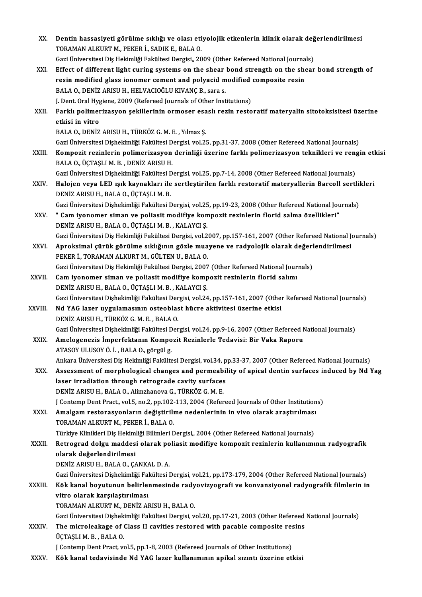| XX.          | Dentin hassasiyeti görülme sıklığı ve olası etiyolojik etkenlerin klinik olarak değerlendirilmesi                |
|--------------|------------------------------------------------------------------------------------------------------------------|
|              | TORAMAN ALKURT M., PEKER İ., SADIK E., BALA O.                                                                   |
|              | Gazi Üniversitesi Diş Hekimliği Fakültesi Dergisi,, 2009 (Other Refereed National Journals)                      |
| XXI.         | Effect of different light curing systems on the shear bond strength on the shear bond strength of                |
|              | resin modified glass ionomer cement and polyacid modified composite resin                                        |
|              | BALA O., DENİZ ARISU H., HELVACIOĞLU KIVANÇ B., sara s.                                                          |
|              | J. Dent. Oral Hygiene, 2009 (Refereed Journals of Other Institutions)                                            |
| XXII.        | Farklı polimerizasyon şekillerinin ormoser esaslı rezin restoratif materyalin sitotoksisitesi üzerine            |
|              | etkisi in vitro                                                                                                  |
|              | BALA O., DENİZ ARISU H., TÜRKÖZ G. M. E., Yılmaz Ş.                                                              |
|              | Gazi Üniversitesi Dişhekimliği Fakültesi Dergisi, vol.25, pp.31-37, 2008 (Other Refereed National Journals)      |
| XXIII.       | Kompozit rezinlerin polimerizasyon derinliği üzerine farklı polimerizasyon teknikleri ve rengin etkisi           |
|              | BALA O., ÜÇTAŞLI M. B., DENİZ ARISU H.                                                                           |
|              | Gazi Üniversitesi Dişhekimliği Fakültesi Dergisi, vol.25, pp.7-14, 2008 (Other Refereed National Journals)       |
| XXIV.        | Halojen veya LED ışık kaynakları ile sertleştirilen farklı restoratif materyallerin Barcoll sertlikleri          |
|              | DENİZ ARISU H., BALA O., ÜÇTAŞLI M. B.                                                                           |
|              | Gazi Üniversitesi Dişhekimliği Fakültesi Dergisi, vol.25, pp.19-23, 2008 (Other Refereed National Journals)      |
| XXV.         | "Cam iyonomer siman ve poliasit modifiye kompozit rezinlerin florid salma özellikleri"                           |
|              | DENİZ ARISU H., BALA O., ÜÇTAŞLI M. B., KALAYCI Ş.                                                               |
|              | Gazi Üniversitesi Diş Hekimliği Fakültesi Dergisi, vol.2007, pp.157-161, 2007 (Other Refereed National Journals) |
| XXVI.        | Aproksimal çürük görülme sıklığının gözle muayene ve radyolojik olarak değerlendirilmesi                         |
|              | PEKER İ., TORAMAN ALKURT M., GÜLTEN U., BALA O.                                                                  |
|              | Gazi Üniversitesi Diş Hekimliği Fakültesi Dergisi, 2007 (Other Refereed National Journals)                       |
| XXVII.       | Cam iyonomer siman ve poliasit modifiye kompozit rezinlerin florid salımı                                        |
|              | DENİZ ARISU H., BALA O., ÜÇTAŞLI M. B., KALAYCI Ş.                                                               |
|              | Gazi Üniversitesi Dişhekimliği Fakültesi Dergisi, vol.24, pp.157-161, 2007 (Other Refereed National Journals)    |
| XXVIII.      | Nd YAG lazer uygulamasının osteoblast hücre aktivitesi üzerine etkisi                                            |
|              | DENİZ ARISU H., TÜRKÖZ G. M. E., BALA O.                                                                         |
|              | Gazi Üniversitesi Dişhekimliği Fakültesi Dergisi, vol.24, pp.9-16, 2007 (Other Refereed National Journals)       |
| XXIX.        | Amelogenezis İmperfektanın Kompozit Rezinlerle Tedavisi: Bir Vaka Raporu                                         |
|              | ATASOY ULUSOY Ö. İ., BALA O., görgül g.                                                                          |
|              | Ankara Üniversitesi Diş Hekimliği Fakültesi Dergisi, vol.34, pp.33-37, 2007 (Other Refereed National Journals)   |
| XXX.         | Assessment of morphological changes and permeability of apical dentin surfaces induced by Nd Yag                 |
|              | laser irradiation through retrograde cavity surfaces                                                             |
|              | DENİZ ARISU H., BALA O., Alimzhanova G., TÜRKÖZ G. M. E.                                                         |
|              | J Contemp Dent Pract, vol.5, no.2, pp.102-113, 2004 (Refereed Journals of Other Institutions)                    |
| <b>XXXI</b>  | Amalgam restorasyonların değiştirilme nedenlerinin in vivo olarak araştırılması                                  |
|              | TORAMAN ALKURT M., PEKER İ., BALA O.                                                                             |
|              | Türkiye Klinikleri Diş Hekimliği Bilimleri Dergisi,, 2004 (Other Refereed National Journals)                     |
| <b>XXXII</b> | Retrograd dolgu maddesi olarak poliasit modifiye kompozit rezinlerin kullanımının radyografik                    |
|              | olarak değerlendirilmesi                                                                                         |
|              | DENIZ ARISU H., BALA O., ÇANKAL D. A.                                                                            |
|              | Gazi Üniversitesi Dişhekimliği Fakültesi Dergisi, vol.21, pp.173-179, 2004 (Other Refereed National Journals)    |
| XXXIII.      | Kök kanal boyutunun belirlenmesinde radyovizyografi ve konvansiyonel radyografik filmlerin in                    |
|              | vitro olarak karşılaştırılması                                                                                   |
|              | TORAMAN ALKURT M., DENİZ ARISU H., BALA O.                                                                       |
|              | Gazi Üniversitesi Dişhekimliği Fakültesi Dergisi, vol.20, pp.17-21, 2003 (Other Refereed National Journals)      |
| XXXIV.       | The microleakage of Class II cavities restored with pacable composite resins                                     |
|              | ÜÇTAŞLI M. B., BALA O.                                                                                           |
|              | J Contemp Dent Pract, vol.5, pp.1-8, 2003 (Refereed Journals of Other Institutions)                              |
| XXXV.        | Kök kanal tedavisinde Nd YAG lazer kullanımının apikal sızıntı üzerine etkisi                                    |
|              |                                                                                                                  |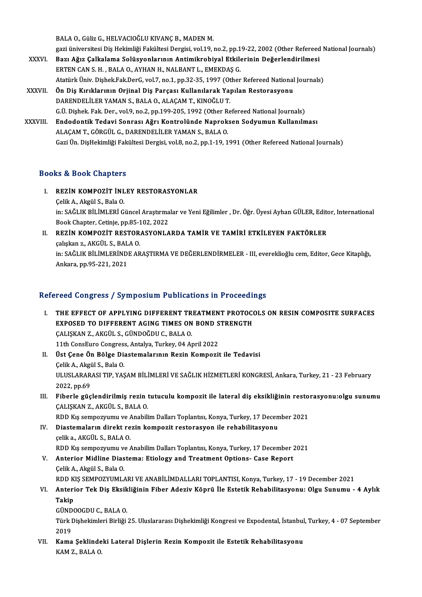BALA O., Güliz G., HELVACIOĞLU KIVANÇ B., MADEN M.

BALA O., Güliz G., HELVACIOĞLU KIVANÇ B., MADEN M.<br>gazi üniversitesi Diş Hekimliği Fakültesi Dergisi, vol.19, no.2, pp.19-22, 2002 (Other Refereed National Journals)<br>Bazı Ağız Galkalama Salüsyanlanının Antimikrabiyal Etkil XXXVI. Bazı Ağız Çalkalama Solüsyonlarının Antimikrobiyal Etkilerinin Değerlendirilmesi gazi üniversitesi Diş Hekimliği Fakültesi Dergisi, vol.19, no.2, pp.1<br>Bazı Ağız Çalkalama Solüsyonlarının Antimikrobiyal Etkile<br>ERTEN CAN S. H. , BALA O., AYHAN H., NALBANT L., EMEKDAŞ G.<br>Atatürk Üniv. Dishek Fek DerC. vol Bazı Ağız Çalkalama Solüsyonlarının Antimikrobiyal Etkilerinin Değerlendirilmesi<br>ERTEN CAN S. H. , BALA O., AYHAN H., NALBANT L., EMEKDAŞ G.<br>Atatürk Üniv. Dişhek.Fak.DerG, vol.7, no.1, pp.32-35, 1997 (Other Refereed Nation

- ERTEN CAN S. H. , BALA O., AYHAN H., NALBANT L., EMEKDAŞ G.<br>Atatürk Üniv. Dişhek.Fak.DerG, vol.7, no.1, pp.32-35, 1997 (Other Refereed National<br>XXXVII. Ön Diş Kırıklarının Orjinal Diş Parçası Kullanılarak Yapılan Restorasy Atatürk Üniv. Dişhek.Fak.DerG, vol.7, no.1, pp.32-35, 1997 (Ot<br>Ön Diş Kırıklarının Orjinal Diş Parçası Kullanılarak Ya<br>DARENDELİLER YAMAN S., BALA O., ALAÇAM T., KINOĞLU T.<br>C.Ü. Dishek. Fak. Der. vol.9, no.2, np.199, 205, Ön Diş Kırıklarının Orjinal Diş Parçası Kullanılarak Yapılan Restorasyonu<br>DARENDELİLER YAMAN S., BALA O., ALAÇAM T., KINOĞLU T.<br>G.Ü. Dişhek. Fak. Der., vol.9, no.2, pp.199-205, 1992 (Other Refereed National Journals) DARENDELİLER YAMAN S., BALA 0., ALAÇAM T., KINOĞLU T.<br>G.Ü. Dişhek. Fak. Der., vol.9, no.2, pp.199-205, 1992 (Other Refereed National Journals)<br>XXXVIII. Endodontik Tedavi Sonrası Ağrı Kontrolünde Naproksen Sodyumun Kull
- G.Ü. Dişhek. Fak. Der., vol.9, no.2, pp.199-205, 1992 (Other R.<br>Endodontik Tedavi Sonrası Ağrı Kontrolünde Naprok:<br>ALAÇAM T., GÖRGÜL G., DARENDELİLER YAMAN S., BALA O.<br>Cari Ün DisHeltimliği Fekültesi Dergisi vol.8, no.2, n ALAÇAM T., GÖRGÜL G., DARENDELİLER YAMAN S., BALA O.<br>Gazi Ün. DişHekimliği Fakültesi Dergisi, vol.8, no.2, pp.1-19, 1991 (Other Refereed National Journals)

### Books&Book Chapters

- I. REZİN KOMPOZİT İNLEY RESTORASYONLAR ÇelikA.,AkgülS.,BalaO. REZİN KOMPOZİT İNLEY RESTORASYONLAR<br>Çelik A., Akgül S., Bala O.<br>in: SAĞLIK BİLİMLERİ Güncel Araştırmalar ve Yeni Eğilimler , Dr. Öğr. Üyesi Ayhan GÜLER, Editor, International<br>Book Chaptar Gatinia pp.95-102-2022 Çelik A., Akgül S., Bala O.<br>in: SAĞLIK BİLİMLERİ Güncel Araştırma<br>Book Chapter, Cetinje, pp.85-102, 2022<br>PEZİN KOMPOZİT PESTORASYONLA in: SAĞLIK BİLİMLERİ Güncel Araştırmalar ve Yeni Eğilimler , Dr. Öğr. Üyesi Ayhan GÜLER, Editd<br>Book Chapter, Cetinje, pp.85-102, 2022<br>II. REZİN KOMPOZİT RESTORASYONLARDA TAMİR VE TAMİRİ ETKİLEYEN FAKTÖRLER<br>Celislan z. AKÇÜ
- Book Chapter, Cetinje, pp.85-102, 2022<br>II. REZIN KOMPOZIT RESTORASYONLARDA TAMIR VE TAMIRI ETKILEYEN FAKTÖRLER<br>calışkan z., AKGÜL S., BALA O. REZİN KOMPOZİT RESTORASYONLARDA TAMİR VE TAMİRİ ETKİLEYEN FAKTÖRLER<br>çalışkan z., AKGÜL S., BALA O.<br>in: SAĞLIK BİLİMLERİNDE ARAŞTIRMA VE DEĞERLENDİRMELER - III, evereklioğlu cem, Editor, Gece Kitaplığı,<br>Ankara, pp.95, 321, çalışkan z., AKGÜL S., BAL<br>in: SAĞLIK BİLİMLERİNDI<br>Ankara, pp.95-221, 2021

# Ankara, pp.95-221, 2021<br>Refereed Congress / Symposium Publications in Proceedings

I. THE EFFECT OF APPLYING DIFFERENT TREATMENT PROTOCOLS ON RESIN COMPOSITE SURFACES EXPOSED TO DIFFERENT AGING TIMES ON BOND STRENGTH ÇALIŞKANZ.,AKGÜL S.,GÜNDOĞDUC.,BALAO. EXPOSED TO DIFFERENT AGING TIMES ON BOND S<br>CALISKAN Z., AKGÜL S., GÜNDOĞDU C., BALA O.<br>11th ConsEuro Congress, Antalya, Turkey, 04 April 2022<br>Üst Cano Ön Bölge Disstemalarının Bogin Kompozii II. Üst Çene Ön Bölge Diastemalarının Rezin Kompozit ile Tedavisi<br>Çelik A., Akgül S., Bala O. 11th ConsEuro Congres:<br>Üst Çene Ön Bölge Di:<br>Çelik A., Akgül S., Bala O.<br>ULUSLARARASI TIR YAS

Üst Çene Ön Bölge Diastemalarının Rezin Kompozit ile Tedavisi<br>Çelik A., Akgül S., Bala O.<br>ULUSLARARASI TIP, YAŞAM BİLİMLERİ VE SAĞLIK HİZMETLERİ KONGRESİ, Ankara, Turkey, 21 - 23 February<br>2022 pp.60 Celik A., Akgi<br>ULUSLARAR<br>2022, pp.69<br>Eiberle güe ULUSLARARASI TIP, YAŞAM BİLİMLERİ VE SAĞLIK HİZMETLERİ KONGRESİ, Ankara, Turkey, 21 - 23 February<br>2022, pp.69<br>III. Fiberle güçlendirilmiş rezin tutuculu kompozit ile lateral diş eksikliğinin restorasyonu:olgu sunumu<br>CALISK

2022, pp.69<br>Fiberle güçlendirilmiş rezin t<br>ÇALIŞKAN Z., AKGÜL S., BALA O.<br>PDD Kış serrestümu ve Anabili Fiberle güçlendirilmiş rezin tutuculu kompozit ile lateral diş eksikliğinin resto<br>ÇALIŞKAN Z., AKGÜL S., BALA O.<br>RDD Kış sempozyumu ve Anabilim Dalları Toplantısı, Konya, Turkey, 17 December 2021<br>Diastemaların direkt rezin

RDD Kis sempozyumu ve Anabilim Dalları Toplantısı, Konya, Turkey, 17 December 2021

- CALIŞKAN Z., AKGÜL S., BALA O.<br>RDD Kış sempozyumu ve Anabilim Dalları Toplantısı, Konya, Turkey, 17 Decer<br>IV. Diastemaların direkt rezin kompozit restorasyon ile rehabilitasyonu<br>celik a., AKGÜL S., BALA O. Diastemaların direkt rezin kompozit restorasyon ile rehabilitasyonu<br>çelik a., AKGÜL S., BALA O.<br>RDD Kış sempozyumu ve Anabilim Dalları Toplantısı, Konya, Turkey, 17 December 2021<br>Anterier Midline Diestema: Etiology and Tre celik a., AKGÜL S., BALA O.<br>RDD Kış sempozyumu ve Anabilim Dalları Toplantısı, Konya, Turkey, 17 December 2<br>V. Anterior Midline Diastema: Etiology and Treatment Options- Case Report<br>Celik A. Akgül S. Bala O.
- RDD Kış sempozyumu v<br><mark>Anterior Midline Dias</mark><br>Çelik A., Akgül S., Bala O.<br>PPD KIS SEMPOZYUML Anterior Midline Diastema: Etiology and Treatment Options- Case Report<br>Çelik A., Akgül S., Bala O.<br>RDD KIŞ SEMPOZYUMLARI VE ANABİLİMDALLARI TOPLANTISI, Konya, Turkey, 17 - 19 December 2021<br>Anterior Tek Die Eksikliğinin Eib
- Çelik A., Akgül S., Bala O.<br>RDD KIŞ SEMPOZYUMLARI VE ANABİLİMDALLARI TOPLANTISI, Konya, Turkey, 17 19 December 2021<br>VI. Anterior Tek Diş Eksikliğinin Fiber Adeziv Köprü İle Estetik Rehabilitasyonu: Olgu Sunumu 4 Ay RDD K<br>Anteri<br>Takip<br>CÜNDO Anterior Tek Diş Eksik<br>Takip<br>GÜNDOOGDU C., BALA O.<br>Türk Dishekimleri Birliği

Türk Dişhekimleri Birliği 25. Uluslararası Dişhekimliği Kongresi ve Expodental, İstanbul, Turkey, 4 - 07 September<br>2019 GÜND<br>Türk I<br>2019<br>Kama Türk Dişhekimleri Birliği 25. Uluslararası Dişhekimliği Kongresi ve Expodental, İstanbul<br>2019<br>VII. Kama Şeklindeki Lateral Dişlerin Rezin Kompozit ile Estetik Rehabilitasyonu<br>KAM Z, PALA O

2019<br>Kama Şeklinde<br>KAM Z., BALA O.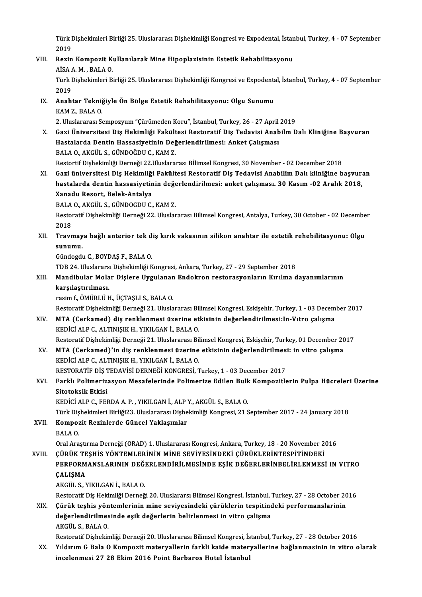Türk Dişhekimleri Birliği 25. Uluslararası Dişhekimliği Kongresi ve Expodental, İstanbul, Turkey, 4 - 07 September<br>2019 Türk I<br>2019<br>Berin Türk Dişhekimleri Birliği 25. Uluslararası Dişhekimliği Kongresi ve Expodental, İstan<br>2019<br>VIII. Rezin Kompozit Kullanılarak Mine Hipoplazisinin Estetik Rehabilitasyonu<br>AİSA A.M., BALA O

# 2019<br>Rezin Kompozit K<br>AİSA A. M. , BALA O.<br>Türk Diskeltimleri B Rezin Kompozit Kullanılarak Mine Hipoplazisinin Estetik Rehabilitasyonu<br>AİSA A. M. , BALA O.<br>Türk Dişhekimleri Birliği 25. Uluslararası Dişhekimliği Kongresi ve Expodental, İstanbul, Turkey, 4 - 07 September<br>2019

AİSA<br>Türk I<br>2019<br>Anabi Türk Dişhekimleri Birliği 25. Uluslararası Dişhekimliği Kongresi ve Expodenta<br>2019<br>IX. Anahtar Tekniğiyle Ön Bölge Estetik Rehabilitasyonu: Olgu Sunumu<br>KAM 7, BALA O

# 2019<br><mark>Anahtar Tekni</mark><br>KAM Z., BALA O.<br>2. Uluslararası S. KAM Z., BALA O.<br>2. Uluslararası Sempozyum "Cürümeden Koru", İstanbul, Turkey, 26 - 27 April 2019

X. Gazi Üniversitesi Diş Hekimliği Fakültesi Restoratif Diş Tedavisi AnabilmDalı Kliniğine Başvuran 2. Uluslararası Sempozyum "Çürümeden Koru", İstanbul, Turkey, 26 - 27 April<br>Gazi Üniversitesi Diş Hekimliği Fakültesi Restoratif Diş Tedavisi Anab<br>Hastalarda Dentin Hassasiyetinin Değerlendirilmesi: Anket Çalışması<br>BALA O. Gazi Üniversitesi Diş Hekimliği Fakült<br>Hastalarda Dentin Hassasiyetinin Değ<br>BALA 0., AKGÜL S., GÜNDOĞDU C., KAM Z.<br>Bestertif Dishekimliği Derneği 22 Uluslaraı Hastalarda Dentin Hassasiyetinin Değerlendirilmesi: Anket Çalışması<br>BALA O., AKGÜL S., GÜNDOĞDU C., KAM Z.<br>Restortif Dişhekimliği Derneği 22.Uluslararası Bİlimsel Kongresi, 30 November - 02 December 2018<br>Cari üniversitesi BALA 0., AKGÜL S., GÜNDOĞDU C., KAM Z.<br>Restortif Dişhekimliği Derneği 22.Uluslararası Bİlimsel Kongresi, 30 November - 02 December 2018<br>XI. Gazi üniversitesi Diş Hekimliği Fakültesi Restoratif Diş Tedavisi Anabilim Dalı kl

Restortif Dişhekimliği Derneği 22.Uluslararası Bİlimsel Kongresi, 30 November - 02 December 2018<br>Gazi üniversitesi Diş Hekimliği Fakültesi Restoratif Diş Tedavisi Anabilim Dalı kliniğine başvur:<br>hastalarda dentin hassasiye Gazi üniversitesi Diş Hekimliği<br>hastalarda dentin hassasiyetin<br>Xanadu Resort, Belek-Antalya<br>BALA O AKÇÜL S ÇÜNDOCDU C hastalarda dentin hassasiyetinin değerlendirilmesi: anket çalışması. 30 Kasım -02 Aralık 2018,<br>Xanadu Resort, Belek-Antalya

BALA O., AKGÜL S., GÜNDOGDU C., KAM Z.

Restoratif Dişhekimliği Derneği 22. Uluslararası Bilimsel Kongresi, Antalya, Turkey, 30 October - 02 December<br>2018 Restoratif Dişhekimliği Derneği 22. Uluslararası Bilimsel Kongresi, Antalya, Turkey, 30 October - 02 Decembe<br>2018<br>XII. Travmaya bağlı anterior tek diş kırık vakasının silikon anahtar ile estetik rehebilitasyonu: Olgu<br>2

2018<br>Travmay<br>sunumu.<br>Günderdı Travmaya bağlı anterior tek d<br>sunumu.<br>Gündogdu C., BOYDAŞ F., BALA O.<br>TDP 24 Huslararsı Dishekimliği v <mark>sunumu.</mark><br>Gündogdu C., BOYDAŞ F., BALA O.<br>TDB 24. Uluslararsı Dişhekimliği Kongresi, Ankara, Turkey, 27 - 29 September 2018<br>Mandibular Molar Dislare Uvaylanan Endekran restarasyonların Kırılma d

# Gündogdu C., BOYDAŞ F., BALA O.<br>TDB 24. Uluslararsı Dişhekimliği Kongresi, Ankara, Turkey, 27 - 29 September 2018<br>XIII. Mandibular Molar Dişlere Uygulanan Endokron restorasyonların Kırılma dayanımlarının<br>karsılastırılm TDB 24. Uluslarars<br>Mandibular Mola<br>karşılaştırılması.<br>rasim f. ÖMÜDI Ü.L Mandibular Molar Dişlere Uygulanan<br>karşılaştırılması.<br>rasim f., ÖMÜRLÜ H., ÜÇTAŞLI S., BALA O.<br>Besteratif Dishekimliği Derneği 21, Ulusla **karşılaştırılması.**<br>rasim f., ÖMÜRLÜ H., ÜÇTAŞLI S., BALA O.<br>Restoratif Dişhekimliği Derneği 21. Uluslararası Bilimsel Kongresi, Eskişehir, Turkey, 1 - 03 December 2017<br>MTA (Corkamed), diş ranklanmesi üzerine etkişinin do

- rasim f., ÖMÜRLÜ H., ÜÇTAŞLI S., BALA O.<br>Restoratif Dişhekimliği Derneği 21. Uluslararası Bilimsel Kongresi, Eskişehir, Turkey, 1 03 Decem<br>XIV. MTA (Cerkamed) diş renklenmesi üzerine etkisinin değerlendirilmesi:In-Vıtro MTA (Cerkamed) diş renklenmesi üzerine etkisinin değerlendirilmesi:In-Vıtro çalışma<br>KEDİCİ ALP C., ALTINIŞIK H., YIKILGAN İ., BALA O. RestoratifDişhekimliğiDerneği21.UluslararasıBilimselKongresi,Eskişehir,Turkey,01December 2017
- KEDİCİ ALP C., ALTINIŞIK H., YIKILGAN İ., BALA O.<br>Restoratif Dişhekimliği Derneği 21. Uluslararası Bilimsel Kongresi, Eskişehir, Turkey, 01 December 20<br>XV. MTA (Cerkamed)'in diş renklenmesi üzerine etkisinin değerlendi KEDİCİ ALP C., ALTINIŞIK H., YIKILGAN İ., BALA O.<br>RESTORATİF DİS TEDAVİSİ DERNEĞİ KONGRESİ, Turkey, 1 - 03 December 2017 MTA (Cerkamed)'in diş renklenmesi üzerine etkisinin değerlendirilmes<br>KEDİCİ ALP C., ALTINIŞIK H., YIKILGAN İ., BALA O.<br>RESTORATİF DİŞ TEDAVİSİ DERNEĞİ KONGRESİ, Turkey, 1 - 03 December 2017<br>Farklı Balimarizasyon Masafaları

## KEDİCİ ALP C., ALTINIŞIK H., YIKILGAN İ., BALA O.<br>RESTORATİF DİŞ TEDAVİSİ DERNEĞİ KONGRESİ, Turkey, 1 - 03 December 2017<br>XVI. Farklı Polimerizasyon Mesafelerinde Polimerize Edilen Bulk Kompozitlerin Pulpa Hücreleri Üze RESTORATİF DİŞ 1<br>Farklı Polimeriz:<br>Sitotoksik Etkisi<br>KEDİCİ ALB GUEEL Farklı Polimerizasyon Mesafelerinde Polimerize Edilen Bulk<br>Sitotoksik Etkisi<br>KEDİCİ ALP C., FERDA A. P. , YIKILGAN İ., ALP Y., AKGÜL S., BALA O.<br>Türk Diskeltimleri Birliği?? Uluslararesı Diskeltimliği Kongresi ?1 S Sitotoksik Etkisi<br>KEDİCİ ALP C., FERDA A. P. , YIKILGAN İ., ALP Y., AKGÜL S., BALA O.<br>Türk Dişhekimleri Birliği23. Uluslararası Dişhekimliği Kongresi, 21 September 2017 - 24 January 2018

KEDİCİ ALP C., FERDA A. P. , YIKILGAN İ., ALP<br>Türk Dişhekimleri Birliği23. Uluslararası Dişhe<br>XVII. Kompozit Rezinlerde Güncel Yaklaşımlar<br>PALA Q Türk Diş<br><mark>Kompo</mark>z<br>BALA O.<br>Oral Ara

BALA O.<br>Oral Araştırma Derneği (ORAD) 1. Uluslararası Kongresi, Ankara, Turkey, 18 - 20 November 2016

## BALA O.<br>20 Oral Araştırma Derneği (ORAD) 1. Uluslararası Kongresi, Ankara, Turkey, 18 - 20 November<br>27 YVIII. ÇÜRÜK TEŞHİS YÖNTEMLERİNİN MİNE SEVİYESİNDEKİ ÇÜRÜKLERİNTESPİTİNDEKİ<br>27 DEREORMANSI ARININ DEĞERI ENDİRİL ME Oral Araştırma Derneği (ORAD) 1. Uluslararası Kongresi, Ankara, Turkey, 18 - 20 November 2016<br>ÇÜRÜK TEŞHİS YÖNTEMLERİNİN MİNE SEVİYESİNDEKİ ÇÜRÜKLERİNTESPİTİNDEKİ<br>PERFORMANSLARININ DEĞERLENDİRİLMESİNDE EŞİK DEĞERLERİNBELİR ÇÜRÜK TE<br>PERFORM<br>ÇALIŞMA PERFORMANSLARININ DEĞI<br>ÇALIŞMA<br>AKGÜL S., YIKILGAN İ., BALA O.<br>Bestaratif Dis Hekimliği Derneğ ÇALIŞMA<br>AKGÜL S., YIKILGAN İ., BALA O.<br>Restoratif Diş Hekimliği Derneği 20. Uluslararsı Bilimsel Kongresi, İstanbul, Turkey, 27 - 28 October 2016<br>Cürük techis yöntemlerinin mine seyiyesindeki gürüklerin tesnitindeki perfor

## AKGÜL S., YIKILGAN İ., BALA O.<br>Restoratif Diş Hekimliği Derneği 20. Uluslararsı Bilimsel Kongresi, İstanbul, Turkey, 27 - 28 October 20<br>XIX. Çürük teşhis yöntemlerinin mine seviyesindeki çürüklerin tespitindeki perform Restoratif Diş Hekimliği Derneği 20. Uluslararsı Bilimsel Kongresi, İstanbul, '<br>Çürük teşhis yöntemlerinin mine seviyesindeki çürüklerin tespitind<br>değerlendirilmesinde eşik değerlerin belirlenmesi in vitro çalişma<br>AKÇİL S. Çürük teşhis yön<br>değerlendirilmes<br>AKGÜL S., BALA O.<br>Besteratif Disbekin değerlendirilmesinde eşik değerlerin belirlenmesi in vitro çalişma<br>AKGÜL S., BALA O.<br>Restoratif Dişhekimliği Derneği 20. Uluslararası Bilimsel Kongresi, İstanbul, Turkey, 27 - 28 October 2016

# AKGÜL S., BALA O.<br>Restoratif Dişhekimliği Derneği 20. Uluslararası Bilimsel Kongresi, İstanbul, Turkey, 27 - 28 October 2016<br>XX. Yıldırım G Bala O Kompozit materyallerin farkli kaide materyallerine bağlanmasinin in vitro o Restoratif Dişhekimliği Derneği 20. Uluslararası Bilimsel Kongresi, İs<br>Yıldırım G Bala O Kompozit materyallerin farkli kaide mater<br>incelenmesi 27 28 Ekim 2016 Point Barbaros Hotel İstanbul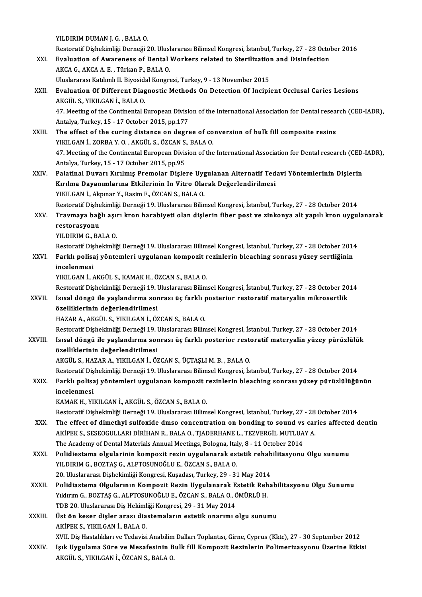YILDIRIM DUMAN J. G., BALA O.

YILDIRIM DUMAN J. G. , BALA O.<br>Restoratif Dişhekimliği Derneği 20. Uluslararası Bilimsel Kongresi, İstanbul, Turkey, 27 - 28 October 2016<br>Evaluation of Avvananese of Dental Workers rektad te Starilization and Disinfection YILDIRIM DUMAN J. G. , BALA 0.<br>Restoratif Dişhekimliği Derneği 20. Uluslararası Bilimsel Kongresi, İstanbul, Turkey, 27 - 28 Octol<br>XXI. Braluation of Awareness of Dental Workers related to Sterilization and Disinfection Restoratif Dişhekimliği Derneği 20. Ulusl<br>**Evaluation of Awareness of Dental**<br>AKCA G., AKCA A. E. , Türkan P., BALA O.<br>Uluslararesı Katılımlı U. Biyesidel Kongre

Evaluation of Awareness of Dental Workers related to Sterilization<br>AKCA G., AKCA A. E. , Türkan P., BALA O.<br>Uluslararası Katılımlı II. Biyosidal Kongresi, Turkey, 9 - 13 November 2015<br>Evaluation Of Different Diagnestis Mat

AKCA G., AKCA A. E. , Türkan P., BALA O.<br>Uluslararası Katılımlı II. Biyosidal Kongresi, Turkey, 9 - 13 November 2015<br>XXII. Biyosidal Caries Lesions AKGÜL S., YIKILGAN İ., BALA O. Uluslararası Katılımlı II. Biyosid:<br>**Evaluation Of Different Diag**<br>AKGÜL S., YIKILGAN İ., BALA O.<br>47. Mesting of the Continental E Evaluation Of Different Diagnostic Methods On Detection Of Incipient Occlusal Caries Lesions<br>AKGÜL S., YIKILGAN İ., BALA O.<br>47. Meeting of the Continental European Division of the International Association for Dental resea

AKGÜL S., YIKILGAN İ., BALA O.<br>47. Meeting of the Continental European Division<br>Antalya, Turkey, 15 - 17 October 2015, pp.177<br>The offect of the curing distance on degre 47. Meeting of the Continental European Division of the International Association for Dental resear<br>Antalya, Turkey, 15 - 17 October 2015, pp.177<br>XXIII. The effect of the curing distance on degree of conversion of bulk fil

- Antalya, Turkey, 15 17 October 2015, pp.177<br>The effect of the curing distance on degree of co<br>YIKILGAN İ., ZORBA Y. O. , AKGÜL S., ÖZCAN S., BALA O.<br>47 Meeting of the Continental European Division of the 47. Meeting of the Continental European Division of the International Association for Dental research (CED-IADR),<br>Antalya, Turkey, 15 - 17 October 2015, pp.95 YIKILGAN İ, ZORBA Y.O., AKGÜL S., ÖZCAN S., BALA O. 47. Meeting of the Continental European Division of the International Association for Dental research (CED-<br>Antalya, Turkey, 15 - 17 October 2015, pp.95<br>XXIV. Palatinal Duvarı Kırılmış Premolar Dişlere Uygulanan Alternatif
- Antalya, Turkey, 15 17 October 2015, pp.95<br>Palatinal Duvarı Kırılmış Premolar Dişlere Uygulanan Alternatif Ted<br>Kırılma Dayanımlarına Etkilerinin In Vitro Olarak Değerlendirilmesi<br>YIKU CAN İ. Almınan V. Basim E. ÖZCAN S. Palatinal Duvarı Kırılmış Premolar Dişlere Uyg<br>Kırılma Dayanımlarına Etkilerinin In Vitro Ola<br>YIKILGAN İ., Akpınar Y., Rasim F., ÖZCAN S., BALA O.<br>Besteratif Dishekimliği Derneği 10 Uluslaranası Bilin Kırılma Dayanımlarına Etkilerinin In Vitro Olarak Değerlendirilmesi<br>19. YIKILGAN İ., Akpınar Y., Rasim F., ÖZCAN S., BALA O.<br>Restoratif Dişhekimliği Derneği 19. Uluslararası Bilimsel Kongresi, İstanbul, Turkey, 27 - 28 Oct YIKILGAN İ., Akpınar Y., Rasim F., ÖZCAN S., BALA O.<br>Restoratif Dişhekimliği Derneği 19. Uluslararası Bilimsel Kongresi, İstanbul, Turkey, 27 - 28 October 2014<br>XXV. Travmaya bağlı aşırı kron harabiyeti olan dişlerin fi

Restoratif Dişhe<br><mark>Travmaya bağ</mark><br>restorasyonu<br><sup>VII DIPM C-PA</sub></sup> Travmaya bağlı aşı<mark>ı</mark><br>restorasyonu<br>YILDIRIM G., BALA 0.<br>Bestoratif Disheltimliğ restorasyonu<br>YILDIRIM G., BALA O.<br>Restoratif Dişhekimliği Derneği 19. Uluslararası Bilimsel Kongresi, İstanbul, Turkey, 27 - 28 October 2014<br>Farklı polisai yöntemleri uygulanan kompogit regiplerin bloaching sonrası yüzey s

# YILDIRIM G., BALA O.<br>Restoratif Dişhekimliği Derneği 19. Uluslararası Bilimsel Kongresi, İstanbul, Turkey, 27 - 28 October 201<br>XXVI. Farklı polisaj yöntemleri uygulanan kompozit rezinlerin bleaching sonrası yüzey sertl Restoratif Di<mark>ș</mark><br>Farklı polisa<br>incelenmesi<br>vivu CAN İ

YIKILGANİ.,AKGÜL S.,KAMAKH.,ÖZCANS.,BALAO.

Restoratif Dişhekimliği Derneği 19. Uluslararası Bilimsel Kongresi, İstanbul, Turkey, 27 - 28 October 2014

# YIKILGAN İ., AKGÜL S., KAMAK H., ÖZCAN S., BALA O.<br>Restoratif Dişhekimliği Derneği 19. Uluslararası Bilimsel Kongresi, İstanbul, Turkey, 27 - 28 October 20<br>XXVII. Isısal döngü ile yaşlandırma sonrası üç farklı posterior re Restoratif Dişhekimliği Derneği 19. l<br>Isısal döngü ile yaşlandırma sor<br>özelliklerinin değerlendirilmesi<br>HAZAR A AKÇÜL S, YIKU CAN İ. ÖZ Isısal döngü ile yaşlandırma sonrası üç farklı <sub>İ</sub><br>özelliklerinin değerlendirilmesi<br>HAZAR A., AKGÜL S., YIKILGAN İ., ÖZCAN S., BALA O.<br>Pestereti<sup>ç</sup> Dishekimliği Derneği 19. Uluslararası Bilim özelliklerinin değerlendirilmesi<br>HAZAR A., AKGÜL S., YIKILGAN İ., ÖZCAN S., BALA O.<br>Restoratif Dişhekimliği Derneği 19. Uluslararası Bilimsel Kongresi, İstanbul, Turkey, 27 - 28 October 2014<br>Jeyesl döngü ile veslandırma sa

HAZAR A., AKGÜL S., YIKILGAN İ., ÖZCAN S., BALA O.<br>Restoratif Dişhekimliği Derneği 19. Uluslararası Bilimsel Kongresi, İstanbul, Turkey, 27 - 28 October 2014<br>XXVIII. Isısal döngü ile yaşlandırma sonrası üç farklı poste Restoratif Dişhekimliği Derneği 19. l<br>Isısal döngü ile yaşlandırma sor<br>özelliklerinin değerlendirilmesi<br>AKÇÜL S. HAZAR A. YIKU CAN İ. ÖZ Isısal döngü ile yaşlandırma sonrası üç farklı posterior restoratif materyalin yüzey pürüzlülük<br>özelliklerinin değerlendirilmesi<br>AKGÜL S., HAZAR A., YIKILGAN İ., ÖZCAN S., ÜÇTAŞLI M. B. , BALA O.

özelliklerinin değerlendirilmesi<br>AKGÜL S., HAZAR A., YIKILGAN İ., ÖZCAN S., ÜÇTAŞLI M. B. , BALA O.<br>Restoratif Dişhekimliği Derneği 19. Uluslararası Bilimsel Kongresi, İstanbul, Turkey, 27 - 28 October 2014<br>Farklı polisei

# AKGÜL S., HAZAR A., YIKILGAN İ., ÖZCAN S., ÜÇTAŞLI M. B. , BALA O.<br>Restoratif Dişhekimliği Derneği 19. Uluslararası Bilimsel Kongresi, İstanbul, Turkey, 27 - 28 October 2014<br>XXIX. Farklı polisaj yöntemleri uygulanan ko Restoratif Di<mark>ş</mark><br>Farklı polisa<br>incelenmesi<br>KAMAK H. YI Farklı polisaj yöntemleri uygulanan kompozit rezinlerin bleaching sonrası yüzey pürüzlülüğünün<br>incelenmesi<br>KAMAK H., YIKILGAN İ., AKGÜL S., ÖZCAN S., BALA O.

Restoratif Dişhekimliği Derneği 19. Uluslararası Bilimsel Kongresi, İstanbul, Turkey, 27 - 28 October 2014

- XAMAK H., YIKILGAN İ., AKGÜL S., ÖZCAN S., BALA O.<br>Restoratif Dişhekimliği Derneği 19. Uluslararası Bilimsel Kongresi, İstanbul, Turkey, 27 28 October 2014<br>XXX. The effect of dimethyl sulfoxide dmso concentration on bond Restoratif Dişhekimliği Derneği 19. Uluslararası Bilimsel Kongresi, İstanbul, Turkey, 27 - 28<br>The effect of dimethyl sulfoxide dmso concentration on bonding to sound vs car<br>AKİPEK S., SESEOGULLARI DİRİHAN R., BALA O., TJAD The effect of dimethyl sulfoxide dmso concentration on bonding to sound vs<br>AKİPEK S., SESEOGULLARI DİRİHAN R., BALA O., TJADERHANE L., TEZVERGİL MUTLUA<br>The Academy of Dental Materials Annual Meetings, Bologna, Italy, 8 - 1 AKİPEK S., SESEOGULLARI DİRİHAN R., BALA O., TJADERHANE L., TEZVERGİL MUTLUAY A.<br>The Academy of Dental Materials Annual Meetings, Bologna, Italy, 8 - 11 October 2014<br>XXXI. Polidiestama olgularinin kompozit rezin uygulanara
- The Academy of Dental Materials Annual Meetings, Bologna, Ital<br>Polidiestama olgularinin kompozit rezin uygulanarak es<br>YILDIRIM G., BOZTAŞ G., ALPTOSUNOĞLU E., ÖZCAN S., BALA O.<br>20 Hluclararası Dishokimliği Kongresi Kusadas Polidiestama olgularinin kompozit rezin uygulanarak estetik rehab<br>YILDIRIM G., BOZTAŞ G., ALPTOSUNOĞLU E., ÖZCAN S., BALA O.<br>20. Uluslararası Dişhekimliği Kongresi, Kuşadası, Turkey, 29 - 31 May 2014<br>Polidiastama Olguların YILDIRIM G., BOZTAŞ G., ALPTOSUNOĞLU E., ÖZCAN S., BALA O.<br>20. Uluslararası Dişhekimliği Kongresi, Kuşadası, Turkey, 29 - 31 May 2014<br>XXXII. Polidiastema Olgularının Kompozit Rezin Uygulanarak Estetik Rehabilitasyonu O
- 20. Uluslararası Dişhekimliği Kongresi, Kuşadası, Turkey, 29 31 May 2014<br>Polidiastema Olgularının Kompozit Rezin Uygulanarak Estetik Reha<br>Yıldırım G., BOZTAŞ G., ALPTOSUNOĞLU E., ÖZCAN S., BALA O., ÖMÜRLÜ H. Polidiastema Olgularının Kompozit Rezin Uygulanarak E<br>Yıldırım G., BOZTAŞ G., ALPTOSUNOĞLU E., ÖZCAN S., BALA O., Ö<br>TDB 20. Uluslararası Diş Hekimliği Kongresi, 29 - 31 May 2014<br>Üst ön kesen disler arası disatemaların este TDB 20. Uluslararası Diş Hekimliği Kongresi, 29 - 31 May 2014
- XXXIII. Üst ön keser dişler arası diastemaların estetik onarımı olgu sunumu<br>AKİPEK S., YIKILGAN İ., BALA O.

XVII. Diş Hastalıkları ve Tedavisi Anabilim Dalları Toplantısı, Girne, Cyprus (Kktc), 27 - 30 September 2012

AKİPEK S., YIKILGAN İ., BALA O.<br>XVII. Diş Hastalıkları ve Tedavisi Anabilim Dalları Toplantısı, Girne, Cyprus (Kktc), 27 - 30 September 2012<br>XXXIV. Işık Uygulama Süre ve Mesafesinin Bulk fill Kompozit Rezinlerin Polime XVII. Diş Hastalıkları ve Tedavisi Anabilim<br>Işık <mark>Uygulama Süre ve Mesafesinin B</mark><br>AKGÜL S., YIKILGAN İ., ÖZCAN S., BALA O.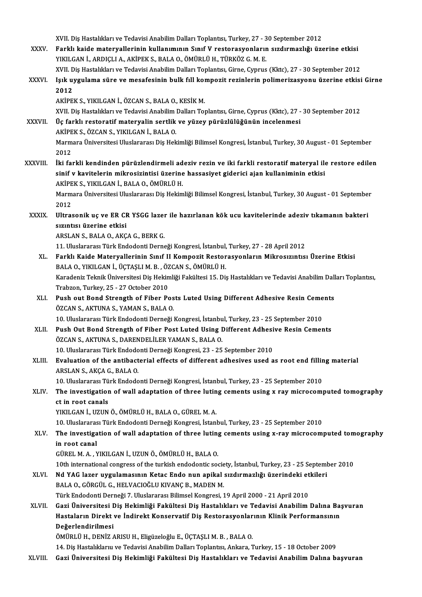XVII. Diş Hastalıkları ve Tedavisi Anabilim Dalları Toplantısı, Turkey, 27 - 30 September 2012<br>Farklı kaide materyallarının kullanımının Sınıf V restanasyonların sırdırmaslığı ürs

XXXV. Farklı kaide materyallerinin kullanımının Sınıf V restorasyonların sızdırmazlığı üzerine etkisi<br>YIKILGAN İ., ARDICLI A., AKİPEK S., BALA O., ÖMÜRLÜ H., TÜRKÖZ G. M. E. XVII. Diş Hastalıkları ve Tedavisi Anabilim Dalları Toplantısı, Turkey, 27 - 3<br>Farklı kaide materyallerinin kullanımının Sınıf V restorasyonlarır<br>YIKILGAN İ., ARDIÇLI A., AKİPEK S., BALA O., ÖMÜRLÜ H., TÜRKÖZ G. M. E.<br>YIJL Farklı kaide materyallerinin kullanımının Sınıf V restorasyonların sızdırmazlığı üzerine etkisi<br>YIKILGAN İ., ARDIÇLI A., AKİPEK S., BALA O., ÖMÜRLÜ H., TÜRKÖZ G. M. E.<br>XVII. Diş Hastalıkları ve Tedavisi Anabilim Dalları To

XXXVI. Işık uygulama süre ve mesafesinin bulk fill kompozit rezinlerin polimerizasyonu üzerine etkisi Girne<br>2012 XVII. D<br>Işık u<mark>:</mark><br>2012<br>A*V*ipr

AKİPEKS.,YIKILGANİ.,ÖZCANS.,BALAO.,KESİKM.

XVII. Diş Hastalıkları ve Tedavisi Anabilim Dalları Toplantısı, Girne, Cyprus (Kktc), 27 - 30 September 2012

- AKİPEK S., YIKILGAN İ., ÖZCAN S., BALA O., KESİK M.<br>XVII. Diş Hastalıkları ve Tedavisi Anabilim Dalları Toplantısı, Girne, Cyprus (Kktc), 27 -<br>XXXVII. Üç farklı restoratif materyalin sertlik ve yüzey pürüzlülüğünün incelen XVII. Diş Hastalıkları ve Tedavisi Anabilim<br>Üç farklı restoratif materyalin sertlik<br>AKİPEK S., ÖZCAN S., YIKILGAN İ., BALA O.<br>Marmara Üniversitesi Uluslararası Dis Hel Marmara Üniversitesi Uluslararası Diş Hekimliği Bilimsel Kongresi, İstanbul, Turkey, 30 August - 01 September<br>2012 AKİPEK S., ÖZCAN S., YIKILGAN İ., BALA O.
- XXXVIII. İki farkli kendinden pürüzlendirmeli adeziv rezin ve iki farkli restoratif materyal ile restore edilen 2012<br>İki farkli kendinden pürüzlendirmeli adeziv rezin ve iki farkli restoratif materyal ile<br>sinif v kavitelerin mikrosizintisi üzerine hassasiyet giderici ajan kullaniminin etkisi<br>Ariper s, Yiku CAN İ. BALA Q. ÖMÜPLÜ H İki farkli kendinden pürüzlendirmeli ad<br>sinif v kavitelerin mikrosizintisi üzerine<br>AKİPEK S., YIKILGAN İ., BALA O., ÖMÜRLÜ H.<br>Marmara Üniversitesi Uluslararası Dis Heltim Marmara Üniversitesi Uluslararası Diş Hekimliği Bilimsel Kongresi, İstanbul, Turkey, 30 August - 01 September<br>2012 AKİPEK S. YIKILGAN İ. BALA O. ÖMÜRLÜ H.
- Marmara Üniversitesi Uluslararası Diş Hekimliği Bilimsel Kongresi, İstanbul, Turkey, 30 August 01 September<br>2012<br>XXXIX. Ultrasonik uç ve ER CR YSGG lazer ile hazırlanan kök ucu kavitelerinde adeziv tıkamanın bakteri<br> 2012<br>Ultrasonik uç ve ER CI<br>sızıntısı üzerine etkisi<br>APSLAN S. PALA O. A*VC*

sızıntısı üzerine etkisi<br>ARSLAN S., BALA O., AKÇA G., BERK G.

11.UluslararasıTürkEndodontiDerneğiKongresi, İstanbul,Turkey,27 -28April2012

- XL. Farklı Kaide Materyallerinin Sınıf II Kompozit Restorasyonların Mikrosızıntısı Üzerine Etkisi 11. Uluslararası Türk Endodonti Derneği Kongresi, İstanbul,<br>Farklı Kaide Materyallerinin Sınıf II Kompozit Restor<br>BALA O., YIKILGAN İ., ÜÇTAŞLI M. B. , ÖZCAN S., ÖMÜRLÜ H.<br>Karadaniz Telmik Üniversitesi Diş Hekimliği Fekült Farklı Kaide Materyallerinin Sınıf II Kompozit Restorasyonların Mikrosızıntısı Üzerine Etkisi<br>BALA O., YIKILGAN İ., ÜÇTAŞLI M. B. , ÖZCAN S., ÖMÜRLÜ H.<br>Karadeniz Teknik Üniversitesi Diş Hekimliği Fakültesi 15. Diş Hastalık BALA O., YIKILGAN İ., ÜÇTAŞLI M. B. , ÖZ<br>Karadeniz Teknik Üniversitesi Diş Hekin<br>Trabzon, Turkey, 25 - 27 October 2010<br>Push out Bond Strongth of Eiber Be Karadeniz Teknik Üniversitesi Diş Hekimliği Fakültesi 15. Diş Hastalıkları ve Tedavisi Anabilim Dall<br>Trabzon, Turkey, 25 - 27 October 2010<br>XLI. Push out Bond Strength of Fiber Posts Luted Using Different Adhesive Resin Cem
- Trabzon, Turkey, 25 27 October 2010<br>Push out Bond Strength of Fiber Pos<br>ÖZCAN S., AKTUNA S., YAMAN S., BALA O.<br>10 Uluslarense: Türk Endedenti Derneği Push out Bond Strength of Fiber Posts Luted Using Different Adhesive Resin Ceme<br>ÖZCAN S., AKTUNA S., YAMAN S., BALA O.<br>10. Uluslararası Türk Endodonti Derneği Kongresi, İstanbul, Turkey, 23 - 25 September 2010<br>Push Out Bon ÖZCAN S., AKTUNA S., YAMAN S., BALA O.<br>10. Uluslararası Türk Endodonti Derneği Kongresi, İstanbul, Turkey, 23 - 25 September 2010<br>XLII. Push Out Bond Strength of Fiber Post Luted Using Different Adhesive Resin Cements<br>

10. Uluslararası Türk Endodonti Derneği Kongresi, İstanbu<br>Push Out Bond Strength of Fiber Post Luted Using I<br>ÖZCAN S., AKTUNA S., DARENDELİLER YAMAN S., BALA O.<br>10. Uluslararası Türk Endodonti Derneği Kongresi 22., 25. Push Out Bond Strength of Fiber Post Luted Using Different Adhesi<br>ÖZCAN S., AKTUNA S., DARENDELİLER YAMAN S., BALA O.<br>10. Uluslararası Türk Endodonti Derneği Kongresi, 23 - 25 September 2010<br>Evaluation of the antibacterial

ÖZCAN S., AKTUNA S., DARENDELİLER YAMAN S., BALA O.<br>10. Uluslararası Türk Endodonti Derneği Kongresi, 23 - 25 September 2010<br>XLIII. Bvaluation of the antibacterial effects of different adhesives used as root end filling ma 10. Uluslararası Türk Endodo<br>**Evaluation of the antibact**<br>ARSLAN S., AKÇA G., BALA O.<br>10. Uluslararası Türk Endodo Evaluation of the antibacterial effects of different adhesives used as root end fillin<br>ARSLAN S., AKÇA G., BALA O.<br>10. Uluslararası Türk Endodonti Derneği Kongresi, İstanbul, Turkey, 23 - 25 September 2010<br>The investigatio

# ARSLAN S., AKÇA G., BALA O.<br>10. Uluslararası Türk Endodonti Derneği Kongresi, İstanbul, Turkey, 23 - 25 September 2010<br>XLIV. The investigation of wall adaptation of three luting cements using x ray microcomputed tomogr 10. Uluslararası Türk Endodonti Derneği Kongresi, İstanbul, Turkey, 23 - 25 September 2010<br>The investigation of wall adaptation of three luting cements using x ray microcom<br>ct in root canals<br>YIKILGAN İ., UZUN Ö., ÖMÜRLÜ H. The investigation of wall adaptation of three lutin<br>ct in root canals<br>YIKILGAN İ., UZUN Ö., ÖMÜRLÜ H., BALA O., GÜREL M. A.<br>10. Uluslarense: Türk Endedenti Derneği Kongresi, İstanl ct in root canals<br>YIKILGAN İ., UZUN Ö., ÖMÜRLÜ H., BALA O., GÜREL M. A.<br>10. Uluslararası Türk Endodonti Derneği Kongresi, İstanbul, Turkey, 23 - 25 September 2010<br>The investigation of well adentation of three luting coment

XLV. The investigation of wall adaptation of three luting cements using x-ray microcomputed tomography<br>in root canal 10. Uluslararas<br>The investiga<br>in root canal<br>CÜPELMAN in root canal<br>GÜREL M. A. , YIKILGAN İ., UZUN Ö., ÖMÜRLÜ H., BALA O.<br>10th international congress of the turkish endodontic society, İstanbul, Turkey, 23 - 25 September 2010<br>Nd XAC Jazer uygulamasının Ketas Endo nun anikal

GÜRELM.A. ,YIKILGANİ.,UZUNÖ.,ÖMÜRLÜH.,BALAO.

GÜREL M. A. , YIKILGAN İ., UZUN Ö., ÖMÜRLÜ H., BALA O.<br>10th international congress of the turkish endodontic society, İstanbul, Turkey, 23 - 25 Septeml<br>XLVI. Nd YAG lazer uygulamasının Ketac Endo nun apikal sızdırmazlığı ü 10th international congress of the turkish endodontic socie<br>**Nd YAG lazer uygulamasının Ketac Endo nun apikal**<br>BALA O., GÖRGÜL G., HELVACIOĞLU KIVANÇ B., MADEN M.<br>Türk Endodonti Derneği 7, Uluslararası Bilimsel Kangresi 1 Nd YAG lazer uygulamasının Ketac Endo nun apikal sızdırmazlığı üzerindeki etkileri<br>BALA O., GÖRGÜL G., HELVACIOĞLU KIVANÇ B., MADEN M.<br>Türk Endodonti Derneği 7. Uluslararası Bilimsel Kongresi, 19 April 2000 - 21 April 2010

BALA 0., GÖRGÜL G., HELVACIOĞLU KIVANÇ B., MADEN M.<br>Türk Endodonti Derneği 7. Uluslararası Bilimsel Kongresi, 19 April 2000 - 21 April 2010<br>XLVII. Gazi Üniversitesi Diş Hekimliği Fakültesi Diş Hastalıkları ve Tedavisi Türk Endodonti Derneği 7. Uluslararası Bilimsel Kongresi, 19 April 2000 - 21 April 2010<br>Gazi Üniversitesi Diş Hekimliği Fakültesi Diş Hastalıkları ve Tedavisi Anabilim Dalına Ba:<br>Hastaların Direkt ve İndirekt Konservatif D Gazi Üniversitesi I<br>Hastaların Direkt<br>Değerlendirilmesi<br>ÖMÜDI Ü.H. DENİZ ( Hastaların Direkt ve İndirekt Konservatif Diş Restorasyonlarının Klinik Performansının<br>Değerlendirilmesi<br>ÖMÜRLÜ H., DENİZ ARISU H., Eligüzeloğlu E., ÜÇTAŞLI M. B. , BALA O.

- 14.DişHastalıklarıu veTedavisiAnabilimDalarıToplantısı,Ankara,Turkey,15 -18October 2009
- XLVIII. Gazi Üniversitesi Diş Hekimliği Fakültesi Diş Hastalıkları ve Tedavisi Anabilim Dalına başvuran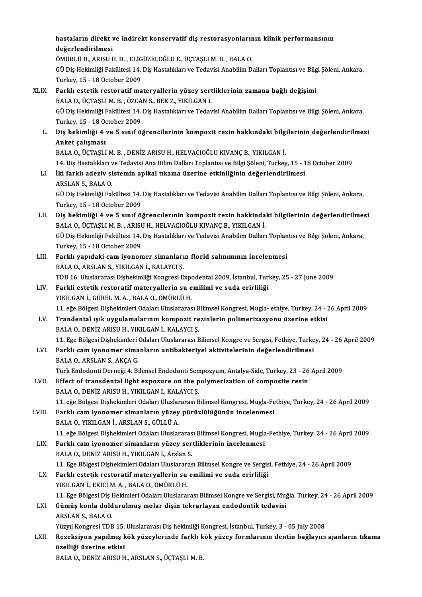|        | hastaların direkt ve indirekt konservatif diş restorasyonlarının klinik performansının                                                                                            |
|--------|-----------------------------------------------------------------------------------------------------------------------------------------------------------------------------------|
|        | değerlendirilmesi                                                                                                                                                                 |
|        | ÖMÜRLÜ H., ARISU H. D., ELİGÜZELOĞLU E., ÜÇTAŞLI M. B., BALA O.                                                                                                                   |
|        | GÜ Diş Hekimliği Fakültesi 14. Diş Hastalıkları ve Tedavisi Anabilim Dalları Toplantısı ve Bilgi Şöleni, Ankara,                                                                  |
|        | Turkey, 15 - 18 October 2009                                                                                                                                                      |
| XLIX.  | Farklı estetik restoratif materyallerin yüzey sertliklerinin zamana bağlı değişimi                                                                                                |
|        | BALA O., ÜÇTAŞLI M. B., ÖZCAN S., BEK Z., YIKILGAN İ.                                                                                                                             |
|        | GÜ Diş Hekimliği Fakültesi 14. Diş Hastalıkları ve Tedavisi Anabilim Dalları Toplantısı ve Bilgi Şöleni, Ankara,                                                                  |
|        | Turkey, 15 - 18 October 2009                                                                                                                                                      |
| L.     | Diş hekimliği 4 ve 5 sınıf öğrencilerinin kompozit rezin hakkındaki bilgilerinin değerlendirilmesi                                                                                |
|        | Anket çalışması                                                                                                                                                                   |
|        | BALA O., ÜÇTAŞLI M. B., DENİZ ARISU H., HELVACIOĞLU KIVANÇ B., YIKILGAN İ.                                                                                                        |
|        | 14. Diş Hastalıkları ve Tedavisi Ana Bilim Dalları Toplantısı ve Bilgi Şöleni, Turkey, 15 - 18 October 2009                                                                       |
| LI.    | İki farklı adeziv sistemin apikal tıkama üzerine etkinliğinin değerlendirilmesi                                                                                                   |
|        | ARSLAN S., BALA O.                                                                                                                                                                |
|        | GÜ Diş Hekimliği Fakültesi 14. Diş Hastalıkları ve Tedavisi Anabilim Dalları Toplantısı ve Bilgi Şöleni, Ankara,                                                                  |
|        | Turkey, 15 - 18 October 2009                                                                                                                                                      |
| LII.   | Diş hekimliği 4 ve 5 sınıf öğrencılerınin kompozit rezin hakkindaki bilgilerinin değerlendirilmesi<br>BALA O., ÜÇTAŞLI M. B., ARISU H., HELVACIOĞLU KIVANÇ B., YIKILGAN İ.        |
|        | GÜ Diş Hekimliği Fakültesi 14. Diş Hastalıkları ve Tedavisi Anabilim Dalları Toplantısı ve Bilgi Şöleni, Ankara,                                                                  |
|        | Turkey, 15 - 18 October 2009                                                                                                                                                      |
| LIII.  | Farklı yapıdaki cam iyonomer simanların florid salınımının incelenmesi                                                                                                            |
|        | BALA O., ARSLAN S., YIKILGAN İ., KALAYCI Ş.                                                                                                                                       |
|        | TDB 16. Uluslararası Dişhekimliği Kongresi Expodental 2009, İstanbul, Turkey, 25 - 27 June 2009                                                                                   |
| LIV.   | Farkli estetik restoratif materyallerin su emilimi ve suda erirliliği                                                                                                             |
|        | YIKILGAN İ., GÜREL M. A., BALA O., ÖMÜRLÜ H.                                                                                                                                      |
|        | 11. eğe Bölgesi Dişhekimleri Odaları Uluslararası Bilimsel Kongresi, Mugla- ethiye, Turkey, 24 - 26 April 2009                                                                    |
| LV.    | Trandental ışık uygulamalarının kompozit rezinlerin polimerizasyonu üzerine etkisi                                                                                                |
|        | BALA O., DENİZ ARISU H., YIKILGAN İ., KALAYCI Ş.                                                                                                                                  |
|        | 11. Ege Bölgesi Dişhekimleri Odaları Uluslararası Bilimsel Kongre ve Sergisi, Fethiye, Turkey, 24 - 26 April 2009                                                                 |
| LVI.   | Farklı cam iyonomer simanların antibakteriyel aktivitelerinin değerlendirilmesi                                                                                                   |
|        | BALA O., ARSLAN S., AKÇA G.                                                                                                                                                       |
|        | Türk Endodonti Derneği 4. Bilimsel Endodonti Sempozyum, Antalya-Side, Turkey, 23 - 26 April 2009                                                                                  |
| LVII.  | Effect of transdental light exposure on the polymerization of composite resin                                                                                                     |
|        | BALA O., DENİZ ARISU H., YIKILGAN İ., KALAYCI Ş.                                                                                                                                  |
|        | 11. eğe Bölgesi Dişhekimleri Odaları Uluslararası Bilimsel Kongresi, Mugla-Fethiye, Turkey, 24 - 26 April 2009                                                                    |
| LVIII. | Farklı cam iyonomer simanların yüzey pürüzlülüğünün incelenmesi                                                                                                                   |
|        | BALA O., YIKILGAN İ., ARSLAN S., GÜLLÜ A.                                                                                                                                         |
|        | 11. eğe Bölgesi Dişhekimleri Odaları Uluslararası Bilimsel Kongresi, Mugla-Fethiye, Turkey, 24 - 26 April 2009<br>Farklı cam iyonomer simanların yüzey sertliklerinin incelenmesi |
| LIX.   | BALA O., DENİZ ARISU H., YIKILGAN İ., Arslan S.                                                                                                                                   |
|        | 11. Ege Bölgesi Dişhekimleri Odaları Uluslararası Bilimsel Kongre ve Sergisi, Fethiye, 24 - 26 April 2009                                                                         |
| LX.    | Farklı estetik restoratif materyallerin su emilimi ve suda erirliliği                                                                                                             |
|        | YIKILGAN İ., EKİCİ M. A., BALA O., ÖMÜRLÜ H.                                                                                                                                      |
|        | 11. Ege Bölgesi Diş Hekimleri Odaları Uluslararası Bilimsel Kongre ve Sergisi, Muğla, Turkey, 24 - 26 April 2009                                                                  |
| LXI.   | Gümüş konla doldurulmuş molar dişin tekrarlayan endodontik tedavisi                                                                                                               |
|        | ARSLAN S., BALA O.                                                                                                                                                                |
|        | Yüzyıl Kongresi TDB 15. Uluslararası Diş hekimliği Kongresi, İstanbul, Turkey, 3 - 05 July 2008                                                                                   |
| LXII.  | Rezeksiyon yapılmış kök yüzeylerinde farklı kök yüzey formlarının dentin bağlayıcı ajanların tıkama                                                                               |
|        | özelliği üzerine etkisi                                                                                                                                                           |
|        | BALA O., DENİZ ARISU H., ARSLAN S., ÜÇTAŞLI M. B.                                                                                                                                 |
|        |                                                                                                                                                                                   |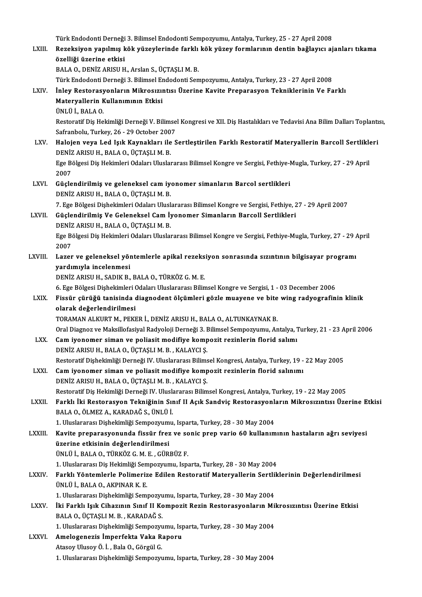Türk Endodonti Derneği 3. Bilimsel Endodonti Sempozyumu, Antalya, Turkey, 25 - 27 April 2008<br>Pereksiyan yapılmış kök yüzeylerinde farklı kök yüzey formlanının dentin beğleyev si Türk Endodonti Derneği 3. Bilimsel Endodonti Sempozyumu, Antalya, Turkey, 25 - 27 April 2008<br>LXIII. Rezeksiyon yapılmış kök yüzeylerinde farklı kök yüzey formlarının dentin bağlayıcı ajanları tıkama Türk Endodonti Derneği<br><mark>Rezeksiyon yapılmış k</mark><br>özelliği üzerine etkisi<br>PALA O. DENİZ APISU H Rezeksiyon yapılmış kök yüzeylerinde farklı<br>özelliği üzerine etkisi<br>BALA O., DENİZ ARISU H., Arslan S., ÜÇTAŞLI M. B.<br>Türk Endedenti Denneği 2. Bilimsel Endedenti Sen özelliği üzerine etkisi<br>BALA O., DENİZ ARISU H., Arslan S., ÜÇTAŞLI M. B.<br>Türk Endodonti Derneği 3. Bilimsel Endodonti Sempozyumu, Antalya, Turkey, 23 - 27 April 2008<br>İnlay Pestanasyanların Mikrosyuntısı Üzerine Kayita Pre BALA O., DENİZ ARISU H., Arslan S., ÜÇTAŞLI M. B.<br>Türk Endodonti Derneği 3. Bilimsel Endodonti Sempozyumu, Antalya, Turkey, 23 - 27 April 2008<br>LXIV. İnley Restorasyonların Mikrosızıntısı Üzerine Kavite Preparasyon Tekn Türk Endodonti Derneği 3. Bilimsel Er<br>İnley Restorasyonların Mikrosızıı<br>Materyallerin Kullanımının Etkisi<br>ÜNUÜ LPALAO Materyallerin Kullanımının Etkisi<br>ÜNLÜ İ., BALA O. Materyallerin Kullanımının Etkisi<br>ÜNLÜ İ., BALA O.<br>Restoratif Diş Hekimliği Derneği V. Bilimsel Kongresi ve XII. Diş Hastalıkları ve Tedavisi Ana Bilim Dalları Toplantısı, ÜNLÜ İ., BALA O.<br>Restoratif Diş Hekimliği Derneği V. Bilimse<br>Safranbolu, Turkey, 26 - 29 October 2007<br>Halsian yava Lad Jaık Kaynakları ile S Restoratif Diş Hekimliği Derneği V. Bilimsel Kongresi ve XII. Diş Hastalıkları ve Tedavisi Ana Bilim Dalları Toplantı<br>Safranbolu, Turkey, 26 - 29 October 2007<br>LXV. Halojen veya Led Işık Kaynakları ile Sertleştirilen Farklı Safranbolu, Turkey, 26 - 29 October 200<br>Halojen veya Led Işık Kaynakları ile<br>DENİZ ARISU H., BALA O., ÜÇTAŞLI M. B.<br>Ese Bölzesi Diş Haltimleri Odaları Uluslar Halojen veya Led Işık Kaynakları ile Sertleştirilen Farklı Restoratif Materyallerin Barcoll Sertlikle<br>DENİZ ARISU H., BALA O., ÜÇTAŞLI M. B.<br>Ege Bölgesi Diş Hekimleri Odaları Uluslararası Bilimsel Kongre ve Sergisi, Fethiy DENİZ ARISU H., BALA O., ÜÇTAŞLI M. B.<br>Ege Bölgesi Diş Hekimleri Odaları Uluslararası Bilimsel Kongre ve Sergisi, Fethiye-Mugla, Turkey, 27 - 29 April<br>2007 Ege Bölgesi Diş Hekimleri Odaları Uluslararası Bilimsel Kongre ve Sergisi, Fethiye-1<br>2007<br>LXVI. Güçlendirilmiş ve geleneksel cam iyonomer simanların Barcol sertlikleri<br>DENİZ ARISLI H. BALA O. ÜÇTASLI M. B 2007<br>Güçlendirilmiş ve geleneksel cam iye<br>DENİZ ARISU H., BALA O., ÜÇTAŞLI M. B.<br>7. Ege Bölgesi Dishekimleri Odaları Ulusl Güçlendirilmiş ve geleneksel cam iyonomer simanların Barcol sertlikleri<br>DENİZ ARISU H., BALA O., ÜÇTAŞLI M. B.<br>7. Ege Bölgesi Dişhekimleri Odaları Uluslararası Bilimsel Kongre ve Sergisi, Fethiye, 27 - 29 April 2007<br>Cüçlen DENİZ ARISU H., BALA O., ÜÇTAŞLI M. B.<br>7. Ege Bölgesi Dişhekimleri Odaları Uluslararası Bilimsel Kongre ve Sergisi, Fethiye, 2<br>LXVII. Güçlendirilmiş Ve Geleneksel Cam İyonomer Simanların Barcoll Sertlikleri<br>DENİZ ARISU 7. Ege Bölgesi Dişhekimleri Odaları Ulusl.<br>Güçlendirilmiş Ve Geleneksel Cam İy<br>DENİZ ARISU H., BALA O., ÜÇTAŞLI M. B.<br>Ege Bölgesi Diş Heltimleri Odaları Uluslar Güçlendirilmiş Ve Geleneksel Cam İyonomer Simanların Barcoll Sertlikleri<br>DENİZ ARISU H., BALA O., ÜÇTAŞLI M. B.<br>Ege Bölgesi Diş Hekimleri Odaları Uluslararası Bilimsel Kongre ve Sergisi, Fethiye-Mugla, Turkey, 27 - 29 Apri DENIZ<br>Ege Bi<br>2007<br>Lazar Ege Bölgesi Diş Hekimleri Odaları Uluslararası Bilimsel Kongre ve Sergisi, Fethiye-Mugla, Turkey, 27 - 29 /<br>2007<br>LXVIII. Lazer ve geleneksel yöntemlerle apikal rezeksiyon sonrasında sızıntının bilgisayar programı 2007<br>Lazer ve geleneksel yör<br>yardımıyla incelenmesi<br>DENİZ ARISLLH, SADIK B Lazer ve geleneksel yöntemlerle apikal rezeks<br>yardımıyla incelenmesi<br>DENİZ ARISU H., SADIK B., BALA O., TÜRKÖZ G. M. E.<br>6. Ege Bölgesi Dishekimleri Odeları Uluslararası Bilin yardımıyla incelenmesi<br>DENİZ ARISU H., SADIK B., BALA O., TÜRKÖZ G. M. E.<br>6. Ege Bölgesi Dişhekimleri Odaları Uluslararası Bilimsel Kongre ve Sergisi, 1 - 03 December 2006<br>Fissür sürüğü tanisinde diagnedent ölsümleri gözle DENİZ ARISU H., SADIK B., BALA O., TÜRKÖZ G. M. E.<br>6. Ege Bölgesi Dişhekimleri Odaları Uluslararası Bilimsel Kongre ve Sergisi, 1 - 03 December 2006<br>1.XIX. Fissür çürüğü tanisinda diagnodent ölçümleri gözle muayene ve 6. Ege Bölgesi Dişhekimleri (<br>Fissür çürüğü tanisinda (<br>olarak değerlendirilmesi<br>TOBAMAN ALKUPT M. PEKE Fissür çürüğü tanisinda diagnodent ölçümleri gözle muayene ve bite wing radyografinin klinik<br>olarak değerlendirilmesi<br>TORAMAN ALKURT M., PEKER İ., DENİZ ARISU H., BALA O., ALTUNKAYNAK B. olarak değerlendirilmesi<br>TORAMAN ALKURT M., PEKER İ., DENİZ ARISU H., BALA O., ALTUNKAYNAK B.<br>Oral Diagnoz ve Maksillofasiyal Radyoloji Derneği 3. Bilimsel Sempozyumu, Antalya, Turkey, 21 - 23 April 2006<br>Cam iyanamar siman LXX. Cam iyonomer siman ve poliasit modifiye kompozit rezinlerin florid salımı<br>DENİZ ARISU H., BALA O., ÜCTASLI M. B., KALAYCI S. Oral Diagnoz ve Maksillofasiyal Radyoloji Derneği 3. I<br>Cam iyonomer siman ve poliasit modifiye komp<br>DENİZ ARISU H., BALA O., ÜÇTAŞLI M. B. , KALAYCI Ş.<br>Bestaratif Dishakimliği Derneği IV. Uluslaranası Bilime Cam iyonomer siman ve poliasit modifiye kompozit rezinlerin florid salımı<br>DENİZ ARISU H., BALA O., ÜÇTAŞLI M. B. , KALAYCI Ş.<br>Restoratif Dişhekimliği Derneği IV. Uluslararası Bilimsel Kongresi, Antalya, Turkey, 19 - 22 May

## LXXI. Cam iyonomer siman ve poliasit modifiye kompozit rezinlerin florid salınımı<br>DENİZ ARISU H., BALA O., ÜÇTAŞLI M. B., KALAYCI Ş. Restoratif Dişhekimliği Derneği IV. Uluslararası Bilims<br>Cam iyonomer siman ve poliasit modifiye komp<br>DENİZ ARISU H., BALA O., ÜÇTAŞLI M. B. , KALAYCI Ş.<br>Bestoratif Dis Hekimliği Derneği IV. Uluslararası Bilim Cam iyonomer siman ve poliasit modifiye kompozit rezinlerin florid salınımı<br>DENİZ ARISU H., BALA O., ÜÇTAŞLI M. B. , KALAYCI Ş.<br>Restoratif Diş Hekimliği Derneği IV. Uluslararası Bilimsel Kongresi, Antalya, Turkey, 19 - 22

LXXII. Farklı İki Restorasyon Tekniğinin Sınıf II Açık Sandviç Restorasyonların Mikrosızıntısı Üzerine Etkisi<br>BALA 0., ÖLMEZ A., KARADAĞ S., ÜNLÜ İ. Restoratif Diş Hekimliği Derneği IV. Ulusla<br>Farklı İki Restorasyon Tekniğinin Sır<br>BALA O., ÖLMEZ A., KARADAĞ S., ÜNLÜ İ.<br>1. Uluslararası Dishekimliği Semnerunumu Farklı İki Restorasyon Tekniğinin Sınıf II Açık Sandviç Restorasyonl:<br>BALA O., ÖLMEZ A., KARADAĞ S., ÜNLÜ İ.<br>1. Uluslararası Dişhekimliği Sempozyumu, Isparta, Turkey, 28 - 30 May 2004<br>Kayita pranarasıyonunda fissür freg ve

LXXIII. Kavite preparasyonunda fissür frez ve sonic prep vario 60 kullanımının hastaların ağrı seviyesi<br>üzerine etkisinin değerlendirilmesi 1. Uluslararası Dişhekimliği Sempozyum<br>Kavite preparasyonunda fissür frez<br>üzerine etkisinin değerlendirilmesi<br>ÜNUÜ LPALA O TÜRKÖZ C M E CÜR ÜNLÜİ.,BALAO.,TÜRKÖZG.M.E. ,GÜRBÜZ F. üzerine etkisinin değerlendirilmesi<br>ÜNLÜ İ., BALA O., TÜRKÖZ G. M. E. , GÜRBÜZ F.<br>1. Uluslararası Diş Hekimliği Sempozyumu, Isparta, Turkey, 28 - 30 May 2004<br>Farklı Vöntemlerle Polimerine Edilen Pesteretif Metervallerin Se

## ÜNLÜ İ., BALA O., TÜRKÖZ G. M. E. , GÜRBÜZ F.<br>1. Uluslararası Diş Hekimliği Sempozyumu, Isparta, Turkey, 28 - 30 May 2004<br>LXXIV. Farklı Yöntemlerle Polimerize Edilen Restoratif Materyallerin Sertliklerinin Değerlendiri 1. Uluslararası Diş Hekimliği Sen<br>Farklı Yöntemlerle Polimeriz<br>ÜNLÜ İ., BALA O., AKPINAR K. E.<br>1. Uluslararası Dishakimliği Sem Farklı Yöntemlerle Polimerize Edilen Restoratif Materyallerin Sertlil<br>ÜNLÜ İ., BALA O., AKPINAR K. E.<br>1. Uluslararası Dişhekimliği Sempozyumu, Isparta, Turkey, 28 - 30 May 2004<br>İki Ferklı Jelk Gihezunun Sunf II Kempozit Be ÜNLÜ İ., BALA O., AKPINAR K. E.<br>1. Uluslararası Dişhekimliği Sempozyumu, Isparta, Turkey, 28 - 30 May 2004<br>1. LXXV. İki Farklı Işık Cihazının Sınıf II Kompozit Rezin Restorasyonların Mikrosızıntısı Üzerine Etkisi

BALA O., ÜÇTAŞLI M. B., KARADAĞ S. İki Farklı Işık Cihazının Sınıf II Kompozit Rezin Restorasyonların Mil<br>BALA O., ÜÇTAŞLI M. B. , KARADAĞ S.<br>1. Uluslararası Dişhekimliği Sempozyumu, Isparta, Turkey, 28 - 30 May 2004<br>Amelogonozis İmnerfekte Veka Benem. BALA O., ÜÇTAŞLI M. B. , KARADAĞ S.<br>1. Uluslararası Dişhekimliği Sempozyumu, Isp<br>LXXVI. Amelogenezis İmperfekta Vaka Raporu

# 1. Uluslararası Dişhekimliği Sempozyu<br>Amelogenezis İmperfekta Vaka R:<br>Atasoy Ulusoy Ö. İ. , Bala O., Görgül G.<br>1. Uluslararası Dishekimliği Sempozyu

Amelogenezis İmperfekta Vaka Raporu<br>Atasoy Ulusoy Ö. İ. , Bala O., Görgül G.<br>1. Uluslararası Dişhekimliği Sempozyumu, Isparta, Turkey, 28 - 30 May 2004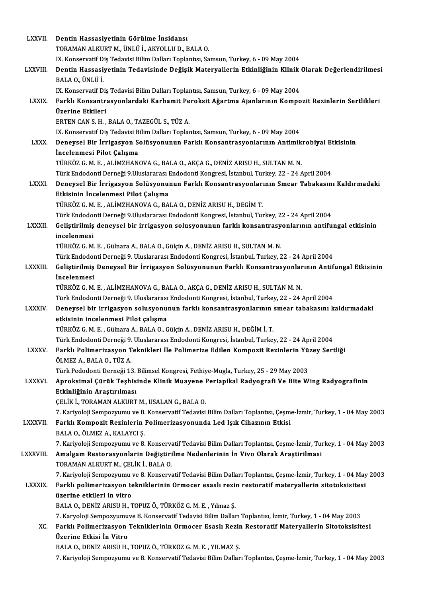| <b>LXXVII.</b>  | Dentin Hassasiyetinin Görülme İnsidansı                                                                               |
|-----------------|-----------------------------------------------------------------------------------------------------------------------|
|                 | TORAMAN ALKURT M., ÜNLÜ İ., AKYOLLU D., BALA O.                                                                       |
|                 | IX. Konservatif Diş Tedavisi Bilim Dalları Toplantısı, Samsun, Turkey, 6 - 09 May 2004                                |
| <b>LXXVIII.</b> | Dentin Hassasiyetinin Tedavisinde Değişik Materyallerin Etkinliğinin Klinik Olarak Değerlendirilmesi                  |
|                 | BALA O., ÜNLÜ İ                                                                                                       |
|                 | IX. Konservatif Diş Tedavisi Bilim Dalları Toplantısı, Samsun, Turkey, 6 - 09 May 2004                                |
| <b>LXXIX</b>    | Farklı Konsantrasyonlardaki Karbamit Peroksit Ağartma Ajanlarının Kompozit Rezinlerin Sertlikleri<br>Üzerine Etkileri |
|                 | ERTEN CAN S. H., BALA O., TAZEGÜL S., TÜZ A.                                                                          |
|                 | IX. Konservatif Diş Tedavisi Bilim Dalları Toplantısı, Samsun, Turkey, 6 - 09 May 2004                                |
| <b>LXXX</b>     | Deneysel Bir İrrigasyon Solüsyonunun Farklı Konsantrasyonlarının Antimikrobiyal Etkisinin                             |
|                 | İncelenmesi Pilot Çalışma                                                                                             |
|                 | TÜRKÖZ G. M. E., ALİMZHANOVA G., BALA O., AKÇA G., DENİZ ARISU H., SULTAN M. N.                                       |
|                 | Türk Endodonti Derneği 9.Uluslararası Endodonti Kongresi, İstanbul, Turkey, 22 - 24 April 2004                        |
| <b>LXXXI</b>    | Deneysel Bir İrrigasyon Solüsyonunun Farklı Konsantrasyonlarının Smear Tabakasını Kaldırmadaki                        |
|                 | Etkisinin İncelenmesi Pilot Çalışma                                                                                   |
|                 | TÜRKÖZ G. M. E., ALİMZHANOVA G., BALA O., DENİZ ARISU H., DEGİM T.                                                    |
|                 | Türk Endodonti Derneği 9.Uluslararası Endodonti Kongresi, İstanbul, Turkey, 22 - 24 April 2004                        |
| <b>LXXXII</b>   | Geliştirilmiş deneysel bir irrigasyon solusyonunun farklı konsantrasyonlarının antifungal etkisinin                   |
|                 | incelenmesi                                                                                                           |
|                 | TÜRKÖZ G. M. E., Gülnara A., BALA O., Gülçin A., DENİZ ARISU H., SULTAN M. N.                                         |
|                 | Türk Endodonti Derneği 9. Uluslararası Endodonti Kongresi, İstanbul, Turkey, 22 - 24 April 2004                       |
| <b>LXXXIII</b>  | Geliştirilmiş Deneysel Bir İrrigasyon Solüsyonunun Farklı Konsantrasyonlarının Antifungal Etkisinin                   |
|                 | <i>incelenmesi</i>                                                                                                    |
|                 | TÜRKÖZ G. M. E., ALİMZHANOVA G., BALA O., AKÇA G., DENİZ ARISU H., SULTAN M. N.                                       |
|                 | Türk Endodonti Derneği 9. Uluslararası Endodonti Kongresi, İstanbul, Turkey, 22 - 24 April 2004                       |
| <b>LXXXIV</b>   | Deneysel bir irrigasyon solusyonunun farklı konsantrasyonlarının smear tabakasını kaldırmadaki                        |
|                 | etkisinin incelenmesi Pilot çalışma<br>TÜRKÖZ G. M. E., Gülnara A., BALA O., Gülçin A., DENİZ ARISU H., DEĞİM İ. T.   |
|                 | Türk Endodonti Derneği 9. Uluslararası Endodonti Kongresi, İstanbul, Turkey, 22 - 24 April 2004                       |
| <b>LXXXV</b>    | Farklı Polimerizasyon Teknikleri İle Polimerize Edilen Kompozit Rezinlerin Yüzey Sertliği                             |
|                 | ÖLMEZ A., BALA O., TÜZ A.                                                                                             |
|                 | Türk Pedodonti Derneği 13. Bilimsel Kongresi, Fethiye-Mugla, Turkey, 25 - 29 May 2003                                 |
| LXXXVI.         | Aproksimal Çürük Teşhisinde Klinik Muayene Periapikal Radyografi Ve Bite Wing Radyografinin                           |
|                 | Etkinliğinin Araştırılması                                                                                            |
|                 | ÇELİK İ., TORAMAN ALKURT M., USALAN G., BALA O.                                                                       |
|                 | 7. Kariyoloji Sempozyumu ve 8. Konservatif Tedavisi Bilim Dalları Toplantısı, Çeşme-İzmir, Turkey, 1 - 04 May 2003    |
| LXXXVII.        | Farklı Kompozit Rezinlerin Polimerizasyonunda Led Işık Cihazının Etkisi                                               |
|                 | BALA O., ÖLMEZ A., KALAYCI Ş.                                                                                         |
|                 | 7. Kariyoloji Sempozyumu ve 8. Konservatif Tedavisi Bilim Dalları Toplantısı, Çeşme-İzmir, Turkey, 1 - 04 May 2003    |
| <b>LXXXVIII</b> | Amalgam Restorasyonlarin Değiştirilme Nedenlerinin İn Vivo Olarak Araştirilmasi                                       |
|                 | TORAMAN ALKURT M., CELIK İ., BALA O.                                                                                  |
|                 | 7. Kariyoloji Sempozyumu ve 8. Konservatif Tedavisi Bilim Dalları Toplantısı, Çeşme-İzmir, Turkey, 1 - 04 May 2003    |
| <b>LXXXIX</b>   | Farklı polimerizasyon tekniklerinin Ormocer esaslı rezin restoratif materyallerin sitotoksisitesi                     |
|                 | üzerine etkileri in vitro                                                                                             |
|                 | BALA O., DENİZ ARISU H., TOPUZ Ö., TÜRKÖZ G. M. E., Yılmaz Ş.                                                         |
|                 | 7. Karyoloji Sempozyumuve 8. Konservatif Tedavisi Bilim Dalları Toplantısı, İzmir, Turkey, 1 - 04 May 2003            |
| XC.             | Farklı Polimerizasyon Tekniklerinin Ormocer Esaslı Rezin Restoratif Materyallerin Sitotoksisitesi                     |
|                 | Üzerine Etkisi İn Vitro                                                                                               |
|                 | BALA O., DENİZ ARISU H., TOPUZ Ö., TÜRKÖZ G. M. E., YILMAZ Ş.                                                         |
|                 | 7. Kariyoloji Sempozyumu ve 8. Konservatif Tedavisi Bilim Dalları Toplantısı, Çeşme-İzmir, Turkey, 1 - 04 May 2003    |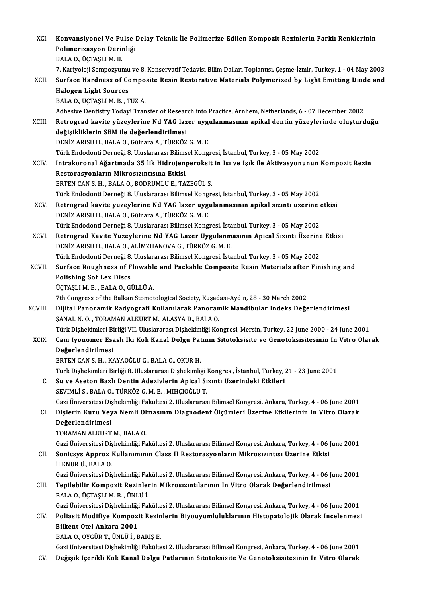| XCI.         | Konvansiyonel Ve Pulse Delay Teknik İle Polimerize Edilen Kompozit Rezinlerin Farklı Renklerinin                   |
|--------------|--------------------------------------------------------------------------------------------------------------------|
|              | Polimerizasyon Derinliği                                                                                           |
|              | BALA O., ÜÇTAŞLI M. B.                                                                                             |
|              | 7. Kariyoloji Sempozyumu ve 8. Konservatif Tedavisi Bilim Dalları Toplantısı, Çeşme-İzmir, Turkey, 1 - 04 May 2003 |
| XCII.        | Surface Hardness of Composite Resin Restorative Materials Polymerized by Light Emitting Diode and                  |
|              | <b>Halogen Light Sources</b>                                                                                       |
|              | BALA O., ÜÇTAŞLI M. B., TÜZ A.                                                                                     |
|              | Adhesive Dentistry Today! Transfer of Research into Practice, Arnhem, Netherlands, 6 - 07 December 2002            |
| <b>XCIII</b> | Retrograd kavite yüzeylerine Nd YAG lazer uygulanmasının apikal dentin yüzeylerinde oluşturduğu                    |
|              | değişikliklerin SEM ile değerlendirilmesi                                                                          |
|              | DENİZ ARISU H., BALA O., Gülnara A., TÜRKÖZ G. M. E.                                                               |
|              | Türk Endodonti Derneği 8. Uluslararası Bilimsel Kongresi, İstanbul, Turkey, 3 - 05 May 2002                        |
| <b>XCIV</b>  | İntrakoronal Ağartmada 35 lik Hidrojenperoksit in Isı ve Işık ile Aktivasyonunun Kompozit Rezin                    |
|              | Restorasyonların Mikrosızıntısına Etkisi                                                                           |
|              | ERTEN CAN S. H., BALA O., BODRUMLU E., TAZEGÜL S.                                                                  |
|              | Türk Endodonti Derneği 8. Uluslararası Bilimsel Kongresi, İstanbul, Turkey, 3 - 05 May 2002                        |
| XCV.         | Retrograd kavite yüzeylerine Nd YAG lazer uygulanmasının apikal sızıntı üzerine etkisi                             |
|              | DENİZ ARISU H., BALA O., Gülnara A., TÜRKÖZ G. M. E.                                                               |
|              | Türk Endodonti Derneği 8. Uluslararası Bilimsel Kongresi, İstanbul, Turkey, 3 - 05 May 2002                        |
| XCVI.        | Retrograd Kavite Yüzeylerine Nd YAG Lazer Uygulanmasının Apical Sızıntı Üzerine Etkisi                             |
|              | DENIZ ARISU H., BALA O., ALIMZHANOVA G., TÜRKÖZ G. M. E.                                                           |
|              | Türk Endodonti Derneği 8. Uluslararası Bilimsel Kongresi, İstanbul, Turkey, 3 - 05 May 2002                        |
| XCVII.       | Surface Roughness of Flowable and Packable Composite Resin Materials after Finishing and                           |
|              | <b>Polishing Sof Lex Discs</b>                                                                                     |
|              | ÜÇTAŞLI M. B., BALA O., GÜLLÜ A.                                                                                   |
|              | 7th Congress of the Balkan Stomotological Society, Kusadası-Aydın, 28 - 30 March 2002                              |
| XCVIII.      | Dijital Panoramik Radyografi Kullanılarak Panoramik Mandibular Indeks Değerlendirimesi                             |
|              | ŞANAL N. Ö., TORAMAN ALKURT M., ALASYA D., BALA O.                                                                 |
|              | Türk Dişhekimleri Birliği VII. Uluslararası Dişhekimliği Kongresi, Mersin, Turkey, 22 June 2000 - 24 June 2001     |
| <b>XCIX</b>  | Cam Iyonomer Esaslı Iki Kök Kanal Dolgu Patının Sitotoksisite ve Genotoksisitesinin In Vitro Olarak                |
|              | Değerlendirilmesi                                                                                                  |
|              | ERTEN CAN S. H., KAYAOĞLU G., BALA O., OKUR H.                                                                     |
|              | Türk Dişhekimleri Birliği 8. Uluslararası Dişhekimliği Kongresi, İstanbul, Turkey, 21 - 23 June 2001               |
| C.           | Su ve Aseton Bazlı Dentin Adezivlerin Apical Sızıntı Üzerindeki Etkileri                                           |
|              | SEVİMLİ S., BALA O., TÜRKÖZ G. M. E., MIHÇIOĞLU T.                                                                 |
|              | Gazi Üniversitesi Dişhekimliği Fakültesi 2. Uluslararası Bilimsel Kongresi, Ankara, Turkey, 4 - 06 June 2001       |
| CI.          | Dişlerin Kuru Veya Nemli Olmasının Diagnodent Ölçümleri Üzerine Etkilerinin In Vitro Olarak                        |
|              | Değerlendirimesi<br>TORAMAN ALKURT M., BALA O.                                                                     |
|              | Gazi Üniversitesi Dişhekimliği Fakültesi 2. Uluslararası Bilimsel Kongresi, Ankara, Turkey, 4 - 06 June 2001       |
| CII.         | Sonicsys Approx Kullanımının Class II Restorasyonların Mikrosızıntısı Üzerine Etkisi                               |
|              | İLKNUR Ü., BALA O.                                                                                                 |
|              | Gazi Üniversitesi Dişhekimliği Fakültesi 2. Uluslararası Bilimsel Kongresi, Ankara, Turkey, 4 - 06 June 2001       |
| CIII.        | Tepilebilir Kompozit Rezinlerin Mikrosızıntılarının In Vitro Olarak Değerlendirilmesi                              |
|              | BALA O., ÜÇTAŞLI M. B., ÜNLÜ İ.                                                                                    |
|              | Gazi Üniversitesi Dişhekimliği Fakültesi 2. Uluslararası Bilimsel Kongresi, Ankara, Turkey, 4 - 06 June 2001       |
| CIV.         | Poliasit Modifiye Kompozit Rezinlerin Biyouyumluluklarının Histopatolojik Olarak İncelenmesi                       |
|              | Bilkent Otel Ankara 2001                                                                                           |
|              | BALA O., OYGÜR T., ÜNLÜ İ., BARIŞ E.                                                                               |
|              | Gazi Üniversitesi Dişhekimliği Fakültesi 2. Uluslararası Bilimsel Kongresi, Ankara, Turkey, 4 - 06 June 2001       |
| CV.          | Değişik Içerikli Kök Kanal Dolgu Patlarının Sitotoksisite Ve Genotoksisitesinin In Vitro Olarak                    |
|              |                                                                                                                    |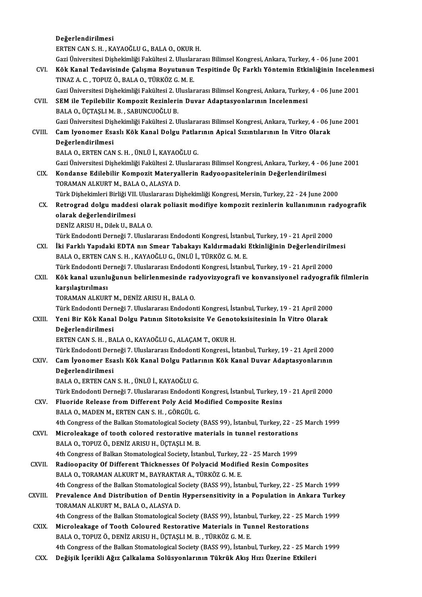### Değerlendirilmesi ERTENCANS.H. ,KAYAOĞLUG.,BALAO.,OKURH. GaziÜniversitesiDişhekimliğiFakültesi2.UluslararasıBilimselKongresi,Ankara,Turkey,4 -06 June 2001 ERTEN CAN S. H. , KAYAOĞLU G., BALA O., OKUR H.<br>Gazi Üniversitesi Dişhekimliği Fakültesi 2. Uluslararası Bilimsel Kongresi, Ankara, Turkey, 4 - 06 June 2001<br>CVI. Kök Kanal Tedavisinde Çalışma Boyutunun Tespitinde Üç Farklı Gazi Üniversitesi Dişhekimliği Fakültesi 2. Uluslar<br>Kök Kanal Tedavisinde Çalışma Boyutunun<br>TINAZ A. C. , TOPUZ Ö., BALA O., TÜRKÖZ G. M. E.<br>Cazi Üniversitesi Dishekimliği Fakültesi 2. Uluslar Kök Kanal Tedavisinde Çalışma Boyutunun Tespitinde Üç Farklı Yöntemin Etkinliğinin Incelenr<br>TINAZ A. C. , TOPUZ Ö., BALA O., TÜRKÖZ G. M. E.<br>Gazi Üniversitesi Dişhekimliği Fakültesi 2. Uluslararası Bilimsel Kongresi, Ankar TINAZ A. C. , TOPUZ Ö., BALA O., TÜRKÖZ G. M. E.<br>Gazi Üniversitesi Dişhekimliği Fakültesi 2. Uluslararası Bilimsel Kongresi, Ankara, Turkey<br>CVII. SEM ile Tepilebilir Kompozit Rezinlerin Duvar Adaptasyonlarının Incelenmesi<br> Gazi Üniversitesi Dişhekimliği Fakültesi 2. U<br>SEM ile Tepilebilir Kompozit Rezinleri<br>BALA 0., ÜÇTAŞLI M. B. , SABUNCUOĞLU B.<br>Cari Üniversitesi Dishekimliği Fakültesi 2. U BALA O., ÜÇTAŞLI M. B. , SABUNCUOĞLU B.<br>Gazi Üniversitesi Dishekimliği Fakültesi 2. Uluslararası Bilimsel Kongresi, Ankara, Turkey, 4 - 06 June 2001 BALA O., ÜÇTAŞLI M. B. , SABUNCUOĞLU B.<br>Gazi Üniversitesi Dişhekimliği Fakültesi 2. Uluslararası Bilimsel Kongresi, Ankara, Turkey, 4 - 06 J<br>CVIII. Cam Iyonomer Esaslı Kök Kanal Dolgu Patlarının Apical Sızıntılarının I Gazi Üniversitesi Dişi<br>Cam Iyonomer Esa<br>Değerlendirilmesi<br>PALA O. ERTEN CAN Cam Iyonomer Esaslı Kök Kanal Dolgu Patla<br>Değerlendirilmesi<br>BALA O., ERTEN CAN S. H. , ÜNLÜ İ., KAYAOĞLU G.<br>Cari Üniversitesi Dishekimliği Fakültesi 3. Uluslara <mark>Değerlendirilmesi</mark><br>BALA O., ERTEN CAN S. H. , ÜNLÜ İ., KAYAOĞLU G.<br>Gazi Üniversitesi Dişhekimliği Fakültesi 2. Uluslararası Bilimsel Kongresi, Ankara, Turkey, 4 - 06 June 2001 CIX. Kondanse Edilebilir KompozitMateryal erin Radyoopasitelerinin Değerlendirilmesi Gazi Üniversitesi Dişhekimliği Fakültesi 2. Ul<br>Kondanse Edilebilir Kompozit Materya<br>TORAMAN ALKURT M., BALA 0., ALASYA D.<br>Türk Dishekimleri Birliği VII. Uluslaranca Di Kondanse Edilebilir Kompozit Materyallerin Radyoopasitelerinin Değerlendirilmesi<br>Türk Dişhekimleri Birliği VII. Uluslararası Dişhekimliği Kongresi, Mersin, Turkey, 22 - 24 June 2000<br>Petresred delsu maddesi olarak poliosit TORAMAN ALKURT M., BALA O., ALASYA D.<br>Türk Dişhekimleri Birliği VII. Uluslararası Dişhekimliği Kongresi, Mersin, Turkey, 22 - 24 June 2000<br>CX. Retrograd dolgu maddesi olarak poliasit modifiye kompozit rezinlerin kullanımın Türk Dişhekimleri Birliği VII.<br>Retrograd dolgu maddes<br>olarak değerlendirilmesi<br>DENİZ ARISU H. Dilak II. BA Retrograd dolgu maddesi olar<br>olarak değerlendirilmesi<br>DENİZ ARISU H., Dilek U., BALA O.<br>Türk Endedenti Demeği 7, Uluslar <mark>olarak değerlendirilmesi</mark><br>DENİZ ARISU H., Dilek U., BALA O.<br>Türk Endodonti Derneği 7. Uluslararası Endodonti Kongresi, İstanbul, Turkey, 19 - 21 April 2000<br>İki Farklı Yanıdaki EDTA nın Smaar Tabakayu Kaldırmadaki Etkinliğ DENİZ ARISU H., Dilek U., BALA O.<br>Türk Endodonti Derneği 7. Uluslararası Endodonti Kongresi, İstanbul, Turkey, 19 - 21 April 2000<br>CXI. İki Farklı Yapıdaki EDTA nın Smear Tabakayı Kaldırmadaki Etkinliğinin Değerlendirilmesi Türk Endodonti Derneği 7. Uluslararası Endodonti Kongresi, İstanb<br>İki Farklı Yapıdaki EDTA nın Smear Tabakayı Kaldırmadaki<br>BALA 0., ERTEN CAN S. H. , KAYAOĞLU G., ÜNLÜ İ., TÜRKÖZ G. M. E.<br>Türk Endodonti Derneği 7. Uluslara İki Farklı Yapıdaki EDTA nın Smear Tabakayı Kaldırmadaki Etkinliğinin Değerlendirilm<br>BALA O., ERTEN CAN S. H. , KAYAOĞLU G., ÜNLÜ İ., TÜRKÖZ G. M. E.<br>Türk Endodonti Derneği 7. Uluslararası Endodonti Kongresi, İstanbul, Tur BALA 0., ERTEN CAN S. H. , KAYAOĞLU G., ÜNLÜ İ., TÜRKÖZ G. M. E.<br>Türk Endodonti Derneği 7. Uluslararası Endodonti Kongresi, İstanbul, Turkey, 19 - 21 April 2000<br>CXII. Kök kanal uzunluğunun belirlenmesinde radyovizyografi v Türk Endodonti De<br><mark>Kök kanal uzun</mark>lı<br>karşılaştırılması<br>TORAMAN ALKUP Kök kanal uzunluğunun belirlenmesinde ra<br>karşılaştırılması<br>TORAMAN ALKURT M., DENİZ ARISU H., BALA O.<br>Türk Endedenti Derneği 7. Uluslararesı Endeden karşılaştırılması<br>TORAMAN ALKURT M., DENİZ ARISU H., BALA O.<br>Türk Endodonti Derneği 7. Uluslararası Endodonti Kongresi, İstanbul, Turkey, 19 - 21 April 2000 CXIII. Yeni Bir Kök Kanal Dolgu Patının Sitotoksisite Ve Genotoksisitesinin İn Vitro Olarak Değerlendirilmesi ERTEN CAN S. H., BALA O., KAYAOĞLU G., ALAÇAM T., OKUR H. TürkEndodontiDerneği7.UluslararasıEndodontiKongresi., İstanbul,Turkey,19 -21April2000 ERTEN CAN S. H. , BALA O., KAYAOĞLU G., ALAÇAM T., OKUR H.<br>Türk Endodonti Derneği 7. Uluslararası Endodonti Kongresi., İstanbul, Turkey, 19 - 21 April 2000<br>CXIV. Cam İyonomer Esaslı Kök Kanal Dolgu Patlarının Kök Kanal Türk Endodonti Deri<br>Cam İyonomer Esa<br>Değerlendirilmesi<br>PALA O. ERTEN CAN Cam İyonomer Esaslı Kök Kanal Dolgu Patlaı<br>Değerlendirilmesi<br>BALA O., ERTEN CAN S. H. , ÜNLÜ İ., KAYAOĞLU G.<br>Türk Endedenti Denneği 7. Uluslararası Endedenti De<mark>ğerlendirilmesi</mark><br>BALA O., ERTEN CAN S. H. , ÜNLÜ İ., KAYAOĞLU G.<br>Türk Endodonti Derneği 7. Uluslararası Endodonti Kongresi, İstanbul, Turkey, 19 - 21 April 2000<br>Elusaida Balassa fram Different Paly, Asid Madified Compos BALA O., ERTEN CAN S. H. , ÜNLÜ İ., KAYAOĞLU G.<br>Türk Endodonti Derneği 7. Uluslararası Endodonti Kongresi, İstanbul, Turkey, 1<br>CXV. Fluoride Release from Different Poly Acid Modified Composite Resins<br>PALA O. MADEN M. ERTEN Türk Endodonti Derneği 7. Uluslararası Endodonti<br>Fluoride Release from Different Poly Acid M<br>BALA 0., MADEN M., ERTEN CAN S. H. , GÖRGÜL G.<br>4th Congress of the Balkan Stematelogical Society. Fluoride Release from Different Poly Acid Modified Composite Resins<br>BALA O., MADEN M., ERTEN CAN S. H. , GÖRGÜL G.<br>4th Congress of the Balkan Stomatological Society (BASS 99), İstanbul, Turkey, 22 - 25 March 1999<br>Misrologk BALA O., MADEN M., ERTEN CAN S. H. , GÖRGÜL G.<br>4th Congress of the Balkan Stomatological Society (BASS 99), İstanbul, Turkey, 22 - 2<br>CXVI. Microleakage of tooth colored restorative materials in tunnel restorations<br>BALA O. 4th Congress of the Balkan Stomatological Society<br>Microleakage of tooth colored restorative m:<br>BALA O., TOPUZ Ö., DENİZ ARISU H., ÜÇTAŞLI M. B.<br>4th Congress of Balkan Stomatological Society, İsta Microleakage of tooth colored restorative materials in tunnel restorations<br>BALA O., TOPUZ Ö., DENİZ ARISU H., ÜÇTAŞLI M. B.<br>4th Congress of Balkan Stomatological Society, İstanbul, Turkey, 22 - 25 March 1999<br>Badioenasity O BALA 0., TOPUZ Ö., DENİZ ARISU H., ÜÇTAŞLI M. B.<br>4th Congress of Balkan Stomatological Society, İstanbul, Turkey, 22 - 25 March 1999<br>CXVII. Radioopacity Of Different Thicknesses Of Polyacid Modified Resin Composites 4th Congress of Balkan Stomatological Society, İstanbul, Turkey, 2<br>Radioopacity Of Different Thicknesses Of Polyacid Modific<br>BALA O., TORAMAN ALKURT M., BAYRAKTAR A., TÜRKÖZ G. M. E.<br>4th Congress of the Balkan Stamatologic Radioopacity Of Different Thicknesses Of Polyacid Modified Resin Composites<br>BALA O., TORAMAN ALKURT M., BAYRAKTAR A., TÜRKÖZ G. M. E.<br>4th Congress of the Balkan Stomatological Society (BASS 99), İstanbul, Turkey, 22 - 25 M BALA O., TORAMAN ALKURT M., BAYRAKTAR A., TÜRKÖZ G. M. E.<br>4th Congress of the Balkan Stomatological Society (BASS 99), İstanbul, Turkey, 22 - 25 March 1999<br>CXVIII. Prevalence And Distribution of Dentin Hypersensitivity in 4th Congress of the Balkan Stomatological S<br>Prevalence And Distribution of Dentin<br>TORAMAN ALKURT M., BALA O., ALASYA D.<br>4th Congress of the Ballian Stomatological S Prevalence And Distribution of Dentin Hypersensitivity in a Population in Ankara Turke<br>TORAMAN ALKURT M., BALA O., ALASYA D.<br>4th Congress of the Balkan Stomatological Society (BASS 99), İstanbul, Turkey, 22 - 25 March 1999 TORAMAN ALKURT M., BALA O., ALASYA D.<br>4th Congress of the Balkan Stomatological Society (BASS 99), İstanbul, Turkey, 22 - 25 M<br>CXIX. Microleakage of Tooth Coloured Restorative Materials in Tunnel Restorations<br>BALA O. TOPUZ 4th Congress of the Balkan Stomatological Society (BASS 99), İstanbu<br>Microleakage of Tooth Coloured Restorative Materials in Tu:<br>BALA O., TOPUZ Ö., DENİZ ARISU H., ÜÇTAŞLI M. B. , TÜRKÖZ G. M. E.<br>4th Congress of the Balkan Microleakage of Tooth Coloured Restorative Materials in Tunnel Restorations<br>BALA 0., TOPUZ Ö., DENİZ ARISU H., ÜÇTAŞLI M. B. , TÜRKÖZ G. M. E.<br>4th Congress of the Balkan Stomatological Society (BASS 99), İstanbul, Turkey,

CXX. Değişik İçerikli Ağız Çalkalama Solüsyonlarının Tükrük Akış Hızı Üzerine Etkileri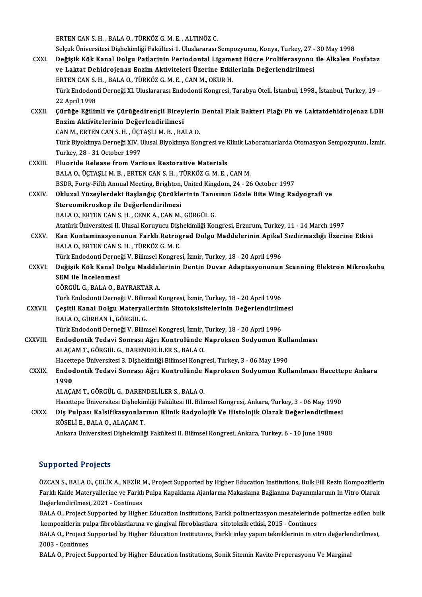erten CAN S. H. , BALA O., TÜRKÖZ G. M. E. , ALTINÖZ C.<br>Selank Üniversitesi Dishekimliği Feltültesi 1. Uluslaranesı

|               | ERTEN CAN S. H., BALA O., TÜRKÖZ G. M. E., ALTINÖZ C.                                                              |
|---------------|--------------------------------------------------------------------------------------------------------------------|
|               | Selçuk Üniversitesi Dişhekimliği Fakültesi 1. Uluslararası Sempozyumu, Konya, Turkey, 27 - 30 May 1998             |
| CXXI.         | Değişik Kök Kanal Dolgu Patlarinin Periodontal Ligament Hücre Proliferasyonu ile Alkalen Fosfataz                  |
|               | ve Laktat Dehidrojenaz Enzim Aktiviteleri Üzerine Etkilerinin Değerlendirilmesi                                    |
|               | ERTEN CAN S. H., BALA O., TÜRKÖZ G. M. E., CAN M., OKUR H.                                                         |
|               | Türk Endodonti Derneği XI. Uluslararası Endodonti Kongresi, Tarabya Oteli, İstanbul, 1998., İstanbul, Turkey, 19 - |
|               | 22 April 1998                                                                                                      |
| CXXII.        | Çürüğe Eğilimli ve Çürüğedirençli Bireylerin Dental Plak Bakteri Plağı Ph ve Laktatdehidrojenaz LDH                |
|               | Enzim Aktivitelerinin Değerlendirilmesi                                                                            |
|               | CAN M., ERTEN CAN S. H., ÜÇTAŞLI M. B., BALA O.                                                                    |
|               | Türk Biyokimya Derneği XIV. Ulusal Biyokimya Kongresi ve Klinik Laboratuarlarda Otomasyon Sempozyumu, İzmir,       |
|               | Turkey, 28 - 31 October 1997                                                                                       |
| <b>CXXIII</b> | Fluoride Release from Various Restorative Materials                                                                |
|               | BALA O., ÜÇTAŞLI M. B., ERTEN CAN S. H., TÜRKÖZ G. M. E., CAN M.                                                   |
|               | BSDR, Forty-Fifth Annual Meeting, Brighton, United Kingdom, 24 - 26 October 1997                                   |
| CXXIV.        | Okluzal Yüzeylerdeki Başlanğıç Çürüklerinin Tanısının Gözle Bite Wing Radyografi ve                                |
|               | Stereomikroskop ile Değerlendirilmesi                                                                              |
|               | BALA O., ERTEN CAN S. H., CENK A., CAN M., GÖRGÜL G.                                                               |
|               | Atatürk Üniversitesi II. Ulusal Koruyucu Dişhekimliği Kongresi, Erzurum, Turkey, 11 - 14 March 1997                |
| CXXV.         | Kan Kontaminasyonunun Farklı Retrograd Dolgu Maddelerinin Apikal Sızdırmazlığı Üzerine Etkisi                      |
|               | BALA O., ERTEN CAN S. H., TÜRKÖZ G. M. E.                                                                          |
|               | Türk Endodonti Derneği V. Bilimsel Kongresi, İzmir, Turkey, 18 - 20 April 1996                                     |
| <b>CXXVI</b>  | Değişik Kök Kanal Dolgu Maddelerinin Dentin Duvar Adaptasyonunun Scanning Elektron Mikroskobu                      |
|               | SEM ile Incelenmesi                                                                                                |
|               | GÖRGÜL G., BALA O., BAYRAKTAR A.                                                                                   |
|               | Türk Endodonti Derneği V. Bilimsel Kongresi, İzmir, Turkey, 18 - 20 April 1996                                     |
| <b>CXXVII</b> | Çeşitli Kanal Dolgu Materyallerinin Sitotoksisitelerinin Değerlendirilmesi                                         |
|               | BALA O., GÜRHAN İ., GÖRGÜL G.                                                                                      |
|               | Türk Endodonti Derneği V. Bilimsel Kongresi, İzmir, Turkey, 18 - 20 April 1996                                     |
| CXXVIII.      | Endodontik Tedavi Sonrası Ağrı Kontrolünde Naproksen Sodyumun Kullanılması                                         |
|               | ALAÇAM T., GÖRGÜL G., DARENDELİLER S., BALA O.                                                                     |
|               | Hacettepe Üniversitesi 3. Dişhekimliği Bilimsel Kongresi, Turkey, 3 - 06 May 1990                                  |
| <b>CXXIX</b>  | Endodontik Tedavi Sonrası Ağrı Kontrolünde Naproksen Sodyumun Kullanılması Hacettepe Ankara                        |
|               | 1990                                                                                                               |
|               | ALAÇAM T., GÖRGÜL G., DARENDELİLER S., BALA O.                                                                     |
|               | Hacettepe Üniversitesi Dişhekimliği Fakültesi III. Bilimsel Kongresi, Ankara, Turkey, 3 - 06 May 1990              |
| CXXX.         | Diş Pulpası Kalsifikasyonlarının Klinik Radyolojik Ve Histolojik Olarak Değerlendirilmesi                          |
|               | KÖSELİ E., BALA O., ALAÇAM T.                                                                                      |
|               | Ankara Üniversitesi Dişhekimliği Fakültesi II. Bilimsel Kongresi, Ankara, Turkey, 6 - 10 June 1988                 |
|               |                                                                                                                    |

### Supported Projects

Supported Projects<br>ÖZCAN S., BALA O., ÇELİK A., NEZİR M., Project Supported by Higher Education Institutions, Bulk Fill Rezin Kompozitlerin<br>Farkk Kaida Matawrallarina və Farkk Bulna Kanaklama Ajanlarına Makaslama Bağlanma Barp Britser Friejsels<br>ÖZCAN S., BALA O., ÇELİK A., NEZİR M., Project Supported by Higher Education Institutions, Bulk Fill Rezin Kompozitlerii<br>Farklı Kaide Materyallerine ve Farklı Pulpa Kapaklama Ajanlarına Makaslama Bağ ÖZCAN S., BALA O., ÇELİK A., NEZİR I<br>Farklı Kaide Materyallerine ve Farklı<br>Değerlendirilmesi, 2021 - Continues<br>BALA O. Brejest Sunnerted bu Hisbe Farklı Kaide Materyallerine ve Farklı Pulpa Kapaklama Ajanlarına Makaslama Bağlanma Dayanımlarının In Vitro Olarak<br>Değerlendirilmesi, 2021 - Continues<br>BALA O., Project Supported by Higher Education Institutions, Farklı pol

0eğerlendirilmesi, 2021 - Continues<br>BALA O., Project Supported by Higher Education Institutions, Farklı polimerizasyon mesafelerinde<br>kompozitlerin pulpa fibroblastlarına ve gingival fibroblastlara sitotoksik etkisi, 2015 -BALA O., Project Supported by Higher Education Institutions, Farklı polimerizasyon mesafelerinde polimerize edilen bu<br>kompozitlerin pulpa fibroblastlarına ve gingival fibroblastlara sitotoksik etkisi, 2015 - Continues<br>BAL

kompozitlerin pu<br>BALA O., Project S<br>2003 - Continues<br>BALA O. Project S BALA O., Project Supported by Higher Education Institutions, Farklı inley yapım tekniklerinin in vitro değerler<br>2003 - Continues<br>BALA O., Project Supported by Higher Education Institutions, Sonik Sitemin Kavite Preperasyon